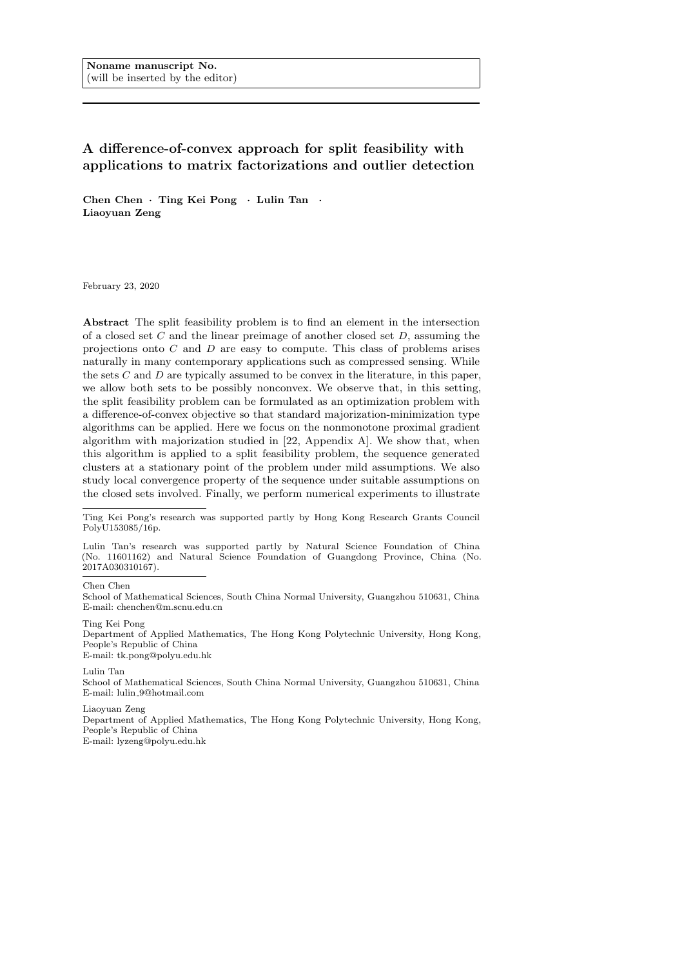Noname manuscript No. (will be inserted by the editor)

# A difference-of-convex approach for split feasibility with applications to matrix factorizations and outlier detection

Chen Chen · Ting Kei Pong · Lulin Tan · Liaoyuan Zeng

February 23, 2020

Abstract The split feasibility problem is to find an element in the intersection of a closed set  $C$  and the linear preimage of another closed set  $D$ , assuming the projections onto C and D are easy to compute. This class of problems arises naturally in many contemporary applications such as compressed sensing. While the sets  $C$  and  $D$  are typically assumed to be convex in the literature, in this paper, we allow both sets to be possibly nonconvex. We observe that, in this setting, the split feasibility problem can be formulated as an optimization problem with a difference-of-convex objective so that standard majorization-minimization type algorithms can be applied. Here we focus on the nonmonotone proximal gradient algorithm with majorization studied in [22, Appendix A]. We show that, when this algorithm is applied to a split feasibility problem, the sequence generated clusters at a stationary point of the problem under mild assumptions. We also study local convergence property of the sequence under suitable assumptions on the closed sets involved. Finally, we perform numerical experiments to illustrate

Ting Kei Pong's research was supported partly by Hong Kong Research Grants Council PolyU153085/16p.

Lulin Tan's research was supported partly by Natural Science Foundation of China (No. 11601162) and Natural Science Foundation of Guangdong Province, China (No. 2017A030310167).

Chen Chen

School of Mathematical Sciences, South China Normal University, Guangzhou 510631, China E-mail: chenchen@m.scnu.edu.cn

Ting Kei Pong Department of Applied Mathematics, The Hong Kong Polytechnic University, Hong Kong, People's Republic of China

E-mail: tk.pong@polyu.edu.hk

Lulin Tan

School of Mathematical Sciences, South China Normal University, Guangzhou 510631, China E-mail: lulin 9@hotmail.com

Liaoyuan Zeng

Department of Applied Mathematics, The Hong Kong Polytechnic University, Hong Kong, People's Republic of China

E-mail: lyzeng@polyu.edu.hk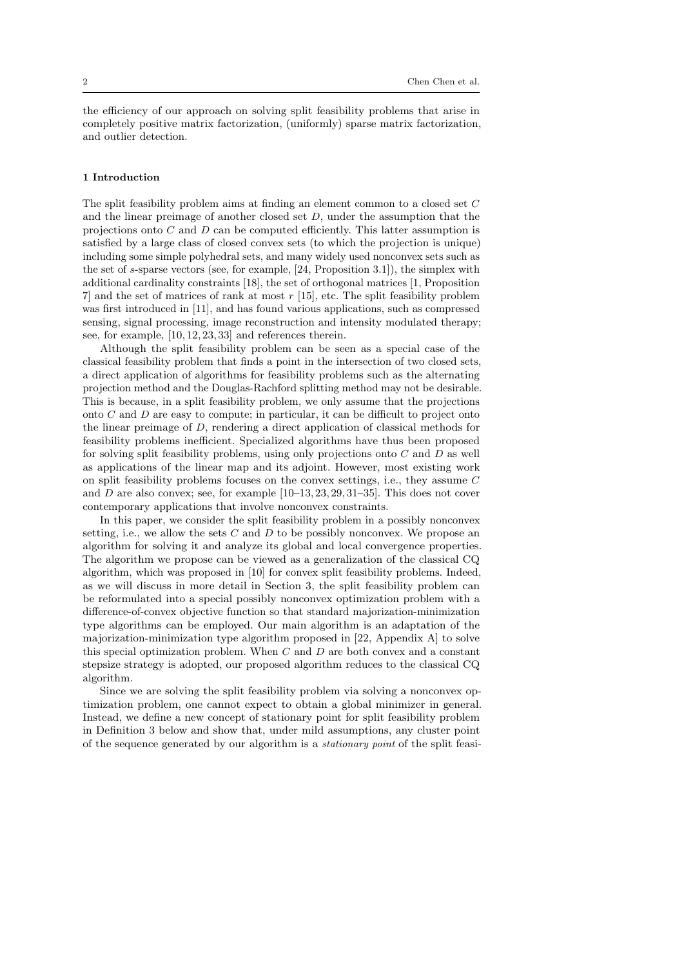the efficiency of our approach on solving split feasibility problems that arise in completely positive matrix factorization, (uniformly) sparse matrix factorization, and outlier detection.

#### 1 Introduction

The split feasibility problem aims at finding an element common to a closed set C and the linear preimage of another closed set  $D$ , under the assumption that the projections onto C and D can be computed efficiently. This latter assumption is satisfied by a large class of closed convex sets (to which the projection is unique) including some simple polyhedral sets, and many widely used nonconvex sets such as the set of s-sparse vectors (see, for example, [24, Proposition 3.1]), the simplex with additional cardinality constraints [18], the set of orthogonal matrices [1, Proposition 7] and the set of matrices of rank at most r [15], etc. The split feasibility problem was first introduced in [11], and has found various applications, such as compressed sensing, signal processing, image reconstruction and intensity modulated therapy; see, for example, [10, 12, 23, 33] and references therein.

Although the split feasibility problem can be seen as a special case of the classical feasibility problem that finds a point in the intersection of two closed sets, a direct application of algorithms for feasibility problems such as the alternating projection method and the Douglas-Rachford splitting method may not be desirable. This is because, in a split feasibility problem, we only assume that the projections onto  $C$  and  $D$  are easy to compute; in particular, it can be difficult to project onto the linear preimage of D, rendering a direct application of classical methods for feasibility problems inefficient. Specialized algorithms have thus been proposed for solving split feasibility problems, using only projections onto  $C$  and  $D$  as well as applications of the linear map and its adjoint. However, most existing work on split feasibility problems focuses on the convex settings, i.e., they assume C and D are also convex; see, for example [10–13, 23, 29, 31–35]. This does not cover contemporary applications that involve nonconvex constraints.

In this paper, we consider the split feasibility problem in a possibly nonconvex setting, i.e., we allow the sets  $C$  and  $D$  to be possibly nonconvex. We propose an algorithm for solving it and analyze its global and local convergence properties. The algorithm we propose can be viewed as a generalization of the classical CQ algorithm, which was proposed in [10] for convex split feasibility problems. Indeed, as we will discuss in more detail in Section 3, the split feasibility problem can be reformulated into a special possibly nonconvex optimization problem with a difference-of-convex objective function so that standard majorization-minimization type algorithms can be employed. Our main algorithm is an adaptation of the majorization-minimization type algorithm proposed in [22, Appendix A] to solve this special optimization problem. When  $C$  and  $D$  are both convex and a constant stepsize strategy is adopted, our proposed algorithm reduces to the classical CQ algorithm.

Since we are solving the split feasibility problem via solving a nonconvex optimization problem, one cannot expect to obtain a global minimizer in general. Instead, we define a new concept of stationary point for split feasibility problem in Definition 3 below and show that, under mild assumptions, any cluster point of the sequence generated by our algorithm is a stationary point of the split feasi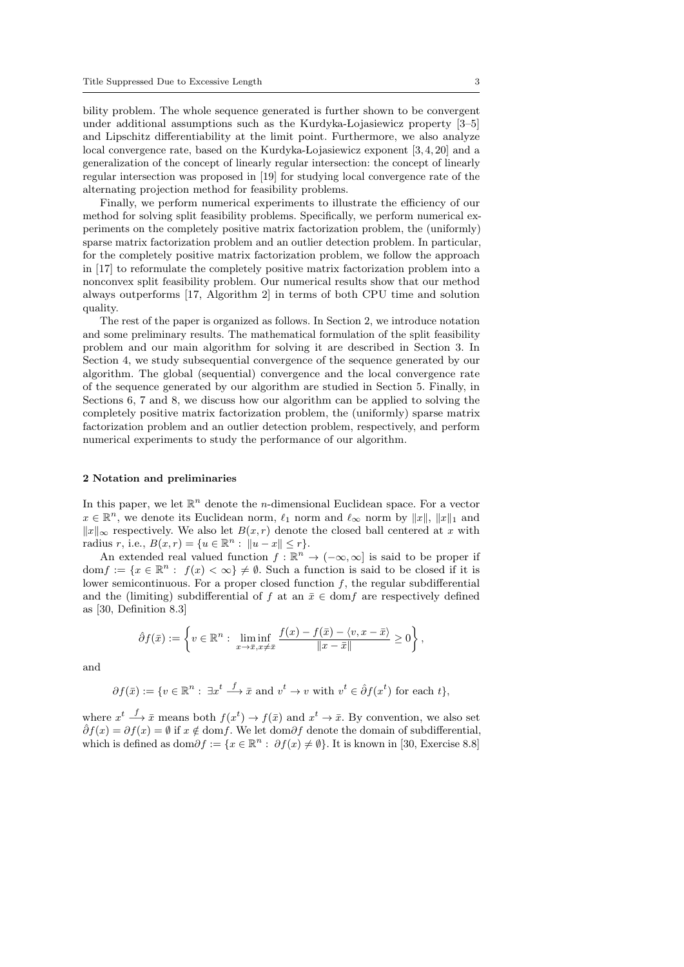bility problem. The whole sequence generated is further shown to be convergent under additional assumptions such as the Kurdyka-Lojasiewicz property  $[3-5]$ and Lipschitz differentiability at the limit point. Furthermore, we also analyze local convergence rate, based on the Kurdyka-Lojasiewicz exponent [3, 4, 20] and a generalization of the concept of linearly regular intersection: the concept of linearly regular intersection was proposed in [19] for studying local convergence rate of the alternating projection method for feasibility problems.

Finally, we perform numerical experiments to illustrate the efficiency of our method for solving split feasibility problems. Specifically, we perform numerical experiments on the completely positive matrix factorization problem, the (uniformly) sparse matrix factorization problem and an outlier detection problem. In particular, for the completely positive matrix factorization problem, we follow the approach in [17] to reformulate the completely positive matrix factorization problem into a nonconvex split feasibility problem. Our numerical results show that our method always outperforms [17, Algorithm 2] in terms of both CPU time and solution quality.

The rest of the paper is organized as follows. In Section 2, we introduce notation and some preliminary results. The mathematical formulation of the split feasibility problem and our main algorithm for solving it are described in Section 3. In Section 4, we study subsequential convergence of the sequence generated by our algorithm. The global (sequential) convergence and the local convergence rate of the sequence generated by our algorithm are studied in Section 5. Finally, in Sections 6, 7 and 8, we discuss how our algorithm can be applied to solving the completely positive matrix factorization problem, the (uniformly) sparse matrix factorization problem and an outlier detection problem, respectively, and perform numerical experiments to study the performance of our algorithm.

#### 2 Notation and preliminaries

In this paper, we let  $\mathbb{R}^n$  denote the *n*-dimensional Euclidean space. For a vector  $x \in \mathbb{R}^n$ , we denote its Euclidean norm,  $\ell_1$  norm and  $\ell_\infty$  norm by  $||x||$ ,  $||x||_1$  and  $||x||_{\infty}$  respectively. We also let  $B(x, r)$  denote the closed ball centered at x with radius r, i.e.,  $B(x,r) = \{u \in \mathbb{R}^n : ||u - x|| \le r\}.$ 

An extended real valued function  $f : \mathbb{R}^n \to (-\infty, \infty]$  is said to be proper if  $dom f := \{x \in \mathbb{R}^n : f(x) < \infty\} \neq \emptyset$ . Such a function is said to be closed if it is lower semicontinuous. For a proper closed function  $f$ , the regular subdifferential and the (limiting) subdifferential of f at an  $\bar{x} \in \text{dom} f$  are respectively defined as [30, Definition 8.3]

$$
\hat{\partial} f(\bar{x}) := \left\{ v \in \mathbb{R}^n : \liminf_{x \to \bar{x}, x \neq \bar{x}} \frac{f(x) - f(\bar{x}) - \langle v, x - \bar{x} \rangle}{\|x - \bar{x}\|} \geq 0 \right\},\
$$

and

$$
\partial f(\bar{x}) := \{ v \in \mathbb{R}^n : \exists x^t \stackrel{f}{\longrightarrow} \bar{x} \text{ and } v^t \to v \text{ with } v^t \in \hat{\partial} f(x^t) \text{ for each } t \},
$$

where  $x^t \stackrel{f}{\longrightarrow} \bar{x}$  means both  $f(x^t) \rightarrow f(\bar{x})$  and  $x^t \rightarrow \bar{x}$ . By convention, we also set  $\hat{\partial}f(x) = \partial f(x) = \emptyset$  if  $x \notin \text{dom}f$ . We let dom $\partial f$  denote the domain of subdifferential, which is defined as  $\text{dom}\partial f := \{x \in \mathbb{R}^n : \partial f(x) \neq \emptyset\}$ . It is known in [30, Exercise 8.8]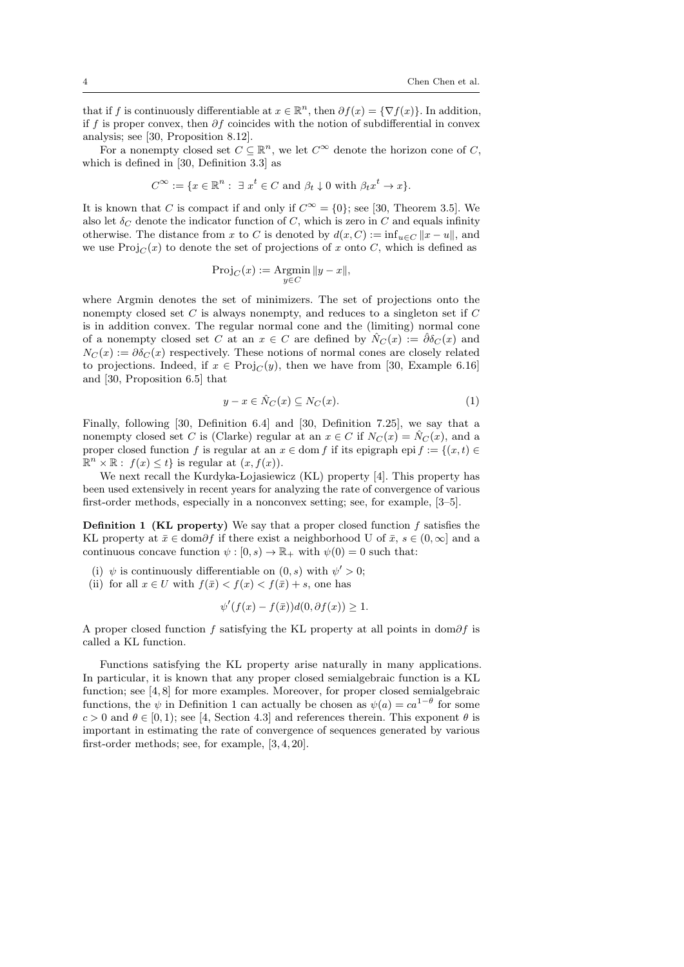that if f is continuously differentiable at  $x \in \mathbb{R}^n$ , then  $\partial f(x) = \{ \nabla f(x) \}$ . In addition, if f is proper convex, then  $\partial f$  coincides with the notion of subdifferential in convex analysis; see [30, Proposition 8.12].

For a nonempty closed set  $C \subseteq \mathbb{R}^n$ , we let  $C^{\infty}$  denote the horizon cone of C, which is defined in [30, Definition 3.3] as

$$
C^{\infty} := \{ x \in \mathbb{R}^n : \exists x^t \in C \text{ and } \beta_t \downarrow 0 \text{ with } \beta_t x^t \to x \}.
$$

It is known that C is compact if and only if  $C^{\infty} = \{0\}$ ; see [30, Theorem 3.5]. We also let  $\delta_C$  denote the indicator function of C, which is zero in C and equals infinity otherwise. The distance from x to C is denoted by  $d(x, C) := \inf_{u \in C} ||x - u||$ , and we use  $\text{Proj}_{C}(x)$  to denote the set of projections of x onto C, which is defined as

$$
\operatorname{Proj}_C(x) := \underset{y \in C}{\operatorname{Argmin}} \|y - x\|,
$$

where Argmin denotes the set of minimizers. The set of projections onto the nonempty closed set  $C$  is always nonempty, and reduces to a singleton set if  $C$ is in addition convex. The regular normal cone and the (limiting) normal cone of a nonempty closed set C at an  $x \in C$  are defined by  $\hat{N}_C(x) := \hat{\partial} \delta_C(x)$  and  $N_C(x) := \partial \delta_C(x)$  respectively. These notions of normal cones are closely related to projections. Indeed, if  $x \in Proj_C(y)$ , then we have from [30, Example 6.16] and [30, Proposition 6.5] that

$$
y - x \in \hat{N}_C(x) \subseteq N_C(x). \tag{1}
$$

Finally, following [30, Definition 6.4] and [30, Definition 7.25], we say that a nonempty closed set C is (Clarke) regular at an  $x \in C$  if  $N_C(x) = \hat{N}_C(x)$ , and a proper closed function f is regular at an  $x \in \text{dom } f$  if its epigraph epi  $f := \{(x, t) \in$  $\mathbb{R}^n \times \mathbb{R}$ :  $f(x) \leq t$  is regular at  $(x, f(x))$ .

We next recall the Kurdyka-Lojasiewicz (KL) property [4]. This property has been used extensively in recent years for analyzing the rate of convergence of various first-order methods, especially in a nonconvex setting; see, for example, [3–5].

Definition 1 (KL property) We say that a proper closed function f satisfies the KL property at  $\bar{x} \in \text{dom}\partial f$  if there exist a neighborhood U of  $\bar{x}, s \in (0, \infty]$  and a continuous concave function  $\psi : [0, s) \to \mathbb{R}_+$  with  $\psi(0) = 0$  such that:

- (i)  $\psi$  is continuously differentiable on  $(0, s)$  with  $\psi' > 0$ ;
- (ii) for all  $x \in U$  with  $f(\bar{x}) < f(x) < f(\bar{x}) + s$ , one has

$$
\psi'(f(x) - f(\bar{x}))d(0, \partial f(x)) \ge 1.
$$

A proper closed function f satisfying the KL property at all points in dom $\partial f$  is called a KL function.

Functions satisfying the KL property arise naturally in many applications. In particular, it is known that any proper closed semialgebraic function is a KL function; see [4, 8] for more examples. Moreover, for proper closed semialgebraic functions, the  $\psi$  in Definition 1 can actually be chosen as  $\psi(a) = ca^{1-\theta}$  for some  $c > 0$  and  $\theta \in [0, 1)$ ; see [4, Section 4.3] and references therein. This exponent  $\theta$  is important in estimating the rate of convergence of sequences generated by various first-order methods; see, for example, [3, 4, 20].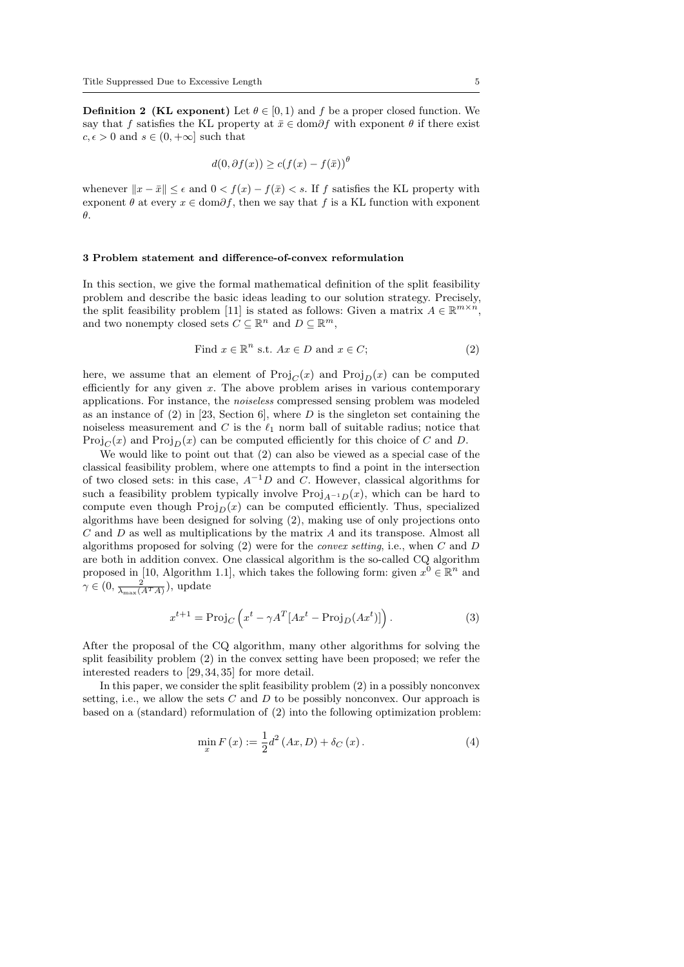**Definition 2 (KL exponent)** Let  $\theta \in [0, 1)$  and f be a proper closed function. We say that f satisfies the KL property at  $\bar{x} \in \text{dom}\partial f$  with exponent  $\theta$  if there exist  $c, \epsilon > 0$  and  $s \in (0, +\infty]$  such that

$$
d(0, \partial f(x)) \ge c(f(x) - f(\bar{x}))^{\theta}
$$

whenever  $||x - \bar{x}|| \leq \epsilon$  and  $0 < f(x) - f(\bar{x}) < s$ . If f satisfies the KL property with exponent  $\theta$  at every  $x \in \text{dom}\partial f$ , then we say that f is a KL function with exponent θ.

#### 3 Problem statement and difference-of-convex reformulation

In this section, we give the formal mathematical definition of the split feasibility problem and describe the basic ideas leading to our solution strategy. Precisely, the split feasibility problem [11] is stated as follows: Given a matrix  $A \in \mathbb{R}^{m \times n}$ , and two nonempty closed sets  $C \subseteq \mathbb{R}^n$  and  $D \subseteq \mathbb{R}^m$ ,

Find 
$$
x \in \mathbb{R}^n
$$
 s.t.  $Ax \in D$  and  $x \in C$ ;  $(2)$ 

here, we assume that an element of  $\text{Proj}_{C}(x)$  and  $\text{Proj}_{D}(x)$  can be computed efficiently for any given  $x$ . The above problem arises in various contemporary applications. For instance, the noiseless compressed sensing problem was modeled as an instance of  $(2)$  in [23, Section 6], where D is the singleton set containing the noiseless measurement and C is the  $\ell_1$  norm ball of suitable radius; notice that  $\text{Proj}_{C}(x)$  and  $\text{Proj}_{D}(x)$  can be computed efficiently for this choice of C and D.

We would like to point out that (2) can also be viewed as a special case of the classical feasibility problem, where one attempts to find a point in the intersection of two closed sets: in this case,  $A^{-1}D$  and C. However, classical algorithms for such a feasibility problem typically involve  $Proj_{A^{-1}D}(x)$ , which can be hard to compute even though  $\text{Proj}_D(x)$  can be computed efficiently. Thus, specialized algorithms have been designed for solving (2), making use of only projections onto  $C$  and  $D$  as well as multiplications by the matrix  $A$  and its transpose. Almost all algorithms proposed for solving  $(2)$  were for the *convex setting*, i.e., when C and D are both in addition convex. One classical algorithm is the so-called CQ algorithm proposed in [10, Algorithm 1.1], which takes the following form: given  $x^0 \in \mathbb{R}^n$  and  $\gamma \in (0, \frac{2}{\lambda_{\max}(A^T A)})$ , update

$$
x^{t+1} = \text{Proj}_C \left( x^t - \gamma A^T [Ax^t - \text{Proj}_D(Ax^t)] \right). \tag{3}
$$

After the proposal of the CQ algorithm, many other algorithms for solving the split feasibility problem (2) in the convex setting have been proposed; we refer the interested readers to [29, 34, 35] for more detail.

In this paper, we consider the split feasibility problem (2) in a possibly nonconvex setting, i.e., we allow the sets  $C$  and  $D$  to be possibly nonconvex. Our approach is based on a (standard) reformulation of (2) into the following optimization problem:

$$
\min_{x} F(x) := \frac{1}{2} d^{2} (Ax, D) + \delta_{C} (x).
$$
\n(4)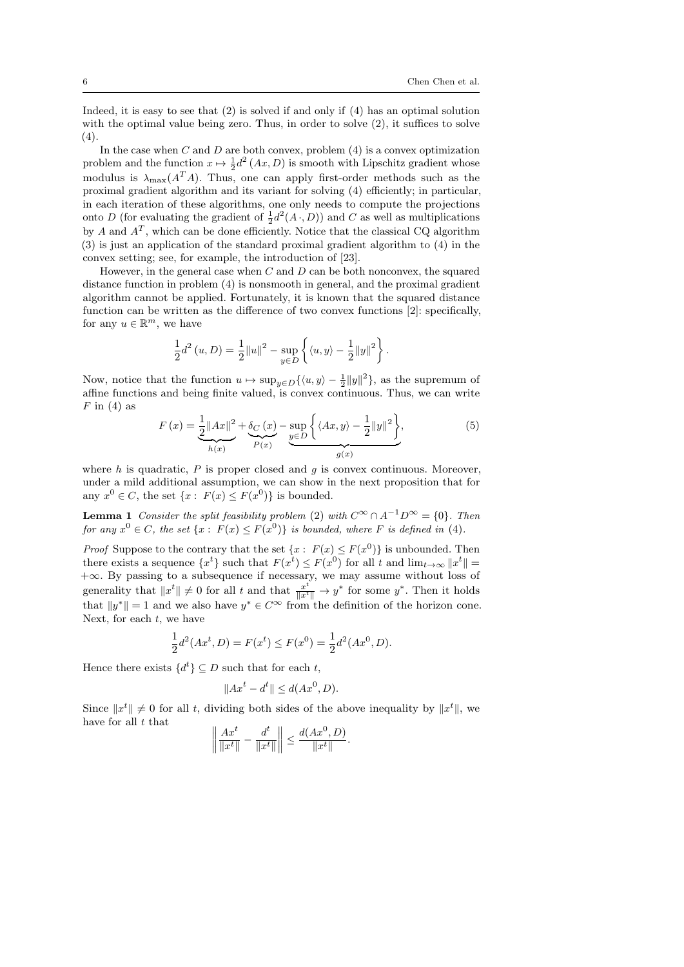Indeed, it is easy to see that (2) is solved if and only if (4) has an optimal solution with the optimal value being zero. Thus, in order to solve  $(2)$ , it suffices to solve  $(4).$ 

In the case when  $C$  and  $D$  are both convex, problem  $(4)$  is a convex optimization problem and the function  $x \mapsto \frac{1}{2}d^2(Ax, D)$  is smooth with Lipschitz gradient whose modulus is  $\lambda_{\max}(A^T A)$ . Thus, one can apply first-order methods such as the proximal gradient algorithm and its variant for solving (4) efficiently; in particular, in each iteration of these algorithms, one only needs to compute the projections onto D (for evaluating the gradient of  $\frac{1}{2}d^2(A \cdot, D)$ ) and C as well as multiplications by A and  $A<sup>T</sup>$ , which can be done efficiently. Notice that the classical CQ algorithm (3) is just an application of the standard proximal gradient algorithm to (4) in the convex setting; see, for example, the introduction of [23].

However, in the general case when  $C$  and  $D$  can be both nonconvex, the squared distance function in problem (4) is nonsmooth in general, and the proximal gradient algorithm cannot be applied. Fortunately, it is known that the squared distance function can be written as the difference of two convex functions [2]: specifically, for any  $u \in \mathbb{R}^m$ , we have

$$
\frac{1}{2}d^{2}(u, D) = \frac{1}{2}||u||^{2} - \sup_{y \in D} \left\{ \langle u, y \rangle - \frac{1}{2}||y||^{2} \right\}.
$$

Now, notice that the function  $u \mapsto \sup_{y \in D} {\{\langle u, y \rangle - \frac{1}{2} ||y||^2\}}$ , as the supremum of affine functions and being finite valued, is convex continuous. Thus, we can write  $F$  in (4) as

$$
F(x) = \underbrace{\frac{1}{2} ||Ax||^2}_{h(x)} + \underbrace{\delta_C(x)}_{P(x)} - \underbrace{\sup_{y \in D} \left\{ \langle Ax, y \rangle - \frac{1}{2} ||y||^2 \right\}}_{g(x)},
$$
(5)

where  $h$  is quadratic,  $P$  is proper closed and  $g$  is convex continuous. Moreover, under a mild additional assumption, we can show in the next proposition that for any  $x^0 \in C$ , the set  $\{x : F(x) \le F(x^0)\}\$ is bounded.

**Lemma 1** Consider the split feasibility problem (2) with  $C^{\infty} \cap A^{-1}D^{\infty} = \{0\}$ . Then for any  $x^0 \in C$ , the set  $\{x : F(x) \leq F(x^0)\}\$ is bounded, where F is defined in (4).

*Proof* Suppose to the contrary that the set  $\{x : F(x) \leq F(x^0)\}\$ is unbounded. Then there exists a sequence  $\{x^t\}$  such that  $F(x^t) \leq F(x^0)$  for all t and  $\lim_{t\to\infty} ||x^t|| =$ +∞. By passing to a subsequence if necessary, we may assume without loss of generality that  $||x^t|| \neq 0$  for all t and that  $\frac{x^t}{||x^t||} \to y^*$  for some  $y^*$ . Then it holds that  $||y^*|| = 1$  and we also have  $y^* \in C^\infty$  from the definition of the horizon cone. Next, for each  $t$ , we have

$$
\frac{1}{2}d^{2}(Ax^{t}, D) = F(x^{t}) \le F(x^{0}) = \frac{1}{2}d^{2}(Ax^{0}, D).
$$

Hence there exists  $\{d^t\} \subseteq D$  such that for each t,

$$
||Ax^t - d^t|| \le d(Ax^0, D).
$$

Since  $||x^t|| \neq 0$  for all t, dividing both sides of the above inequality by  $||x^t||$ , we have for all  $t$  that

.

$$
\left\| \frac{Ax^t}{\|x^t\|} - \frac{d^t}{\|x^t\|} \right\| \le \frac{d(Ax^0, D)}{\|x^t\|}
$$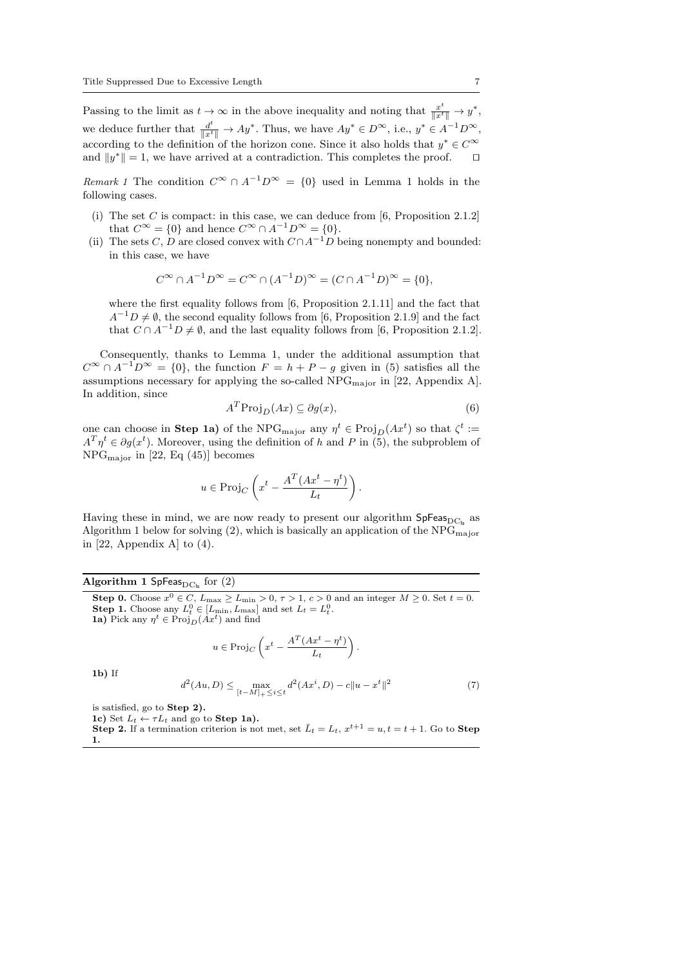Passing to the limit as  $t \to \infty$  in the above inequality and noting that  $\frac{x^t}{\|x^t\|} \to y^*$ , we deduce further that  $\frac{d^t}{\|x^t\|} \to Ay^*$ . Thus, we have  $Ay^* \in D^{\infty}$ , i.e.,  $y^* \in A^{-1}D^{\infty}$ , according to the definition of the horizon cone. Since it also holds that  $y^* \in C^{\infty}$ and  $||y^*|| = 1$ , we have arrived at a contradiction. This completes the proof.  $\square$ 

Remark 1 The condition  $C^{\infty} \cap A^{-1}D^{\infty} = \{0\}$  used in Lemma 1 holds in the following cases.

- (i) The set C is compact: in this case, we can deduce from  $[6,$  Proposition 2.1.2] that  $C^{\infty} = \{0\}$  and hence  $C^{\infty} \cap A^{-1}D^{\infty} = \{0\}.$
- (ii) The sets C, D are closed convex with  $C \cap A^{-1}D$  being nonempty and bounded: in this case, we have

$$
C^{\infty} \cap A^{-1}D^{\infty} = C^{\infty} \cap (A^{-1}D)^{\infty} = (C \cap A^{-1}D)^{\infty} = \{0\},\
$$

where the first equality follows from [6, Proposition 2.1.11] and the fact that  $A^{-1}D \neq \emptyset$ , the second equality follows from [6, Proposition 2.1.9] and the fact that  $C \cap A^{-1}D \neq \emptyset$ , and the last equality follows from [6, Proposition 2.1.2].

Consequently, thanks to Lemma 1, under the additional assumption that  $C^{\infty} \cap A^{-1}D^{\infty} = \{0\}$ , the function  $F = h + P - g$  given in (5) satisfies all the assumptions necessary for applying the so-called  $NPG<sub>major</sub>$  in [22, Appendix A]. In addition, since

$$
A^T \text{Proj}_D(Ax) \subseteq \partial g(x),\tag{6}
$$

one can choose in Step 1a) of the NPG<sub>major</sub> any  $\eta^t \in \text{Proj}_D(Ax^t)$  so that  $\zeta^t :=$  $A^T \eta^t \in \partial g(x^t)$ . Moreover, using the definition of h and P in (5), the subproblem of NPGmajor in [22, Eq (45)] becomes

$$
u \in \text{Proj}_C\left(x^t - \frac{A^T(Ax^t - \eta^t)}{L_t}\right).
$$

Having these in mind, we are now ready to present our algorithm  $\mathsf{SpFeas}_{\mathrm{DC}_k}$  as Algorithm 1 below for solving  $(2)$ , which is basically an application of the NPG<sub>major</sub> in [22, Appendix A] to  $(4)$ .

# Algorithm 1 SpFeas $_{\text{DC}_k}$  for (2)

**Step 0.** Choose  $x^0 \in C$ ,  $L_{\text{max}} \ge L_{\text{min}} > 0$ ,  $\tau > 1$ ,  $c > 0$  and an integer  $M \ge 0$ . Set  $t = 0$ . **Step 1.** Choose any  $L_t^0 \in [L_{\min}, L_{\max}]$  and set  $L_t = L_t^0$ . **1a**) Pick any  $\eta^t \in \text{Proj}_D(Ax^t)$  and find

$$
u \in \text{Proj}_C\left(x^t - \frac{A^T(Ax^t - \eta^t)}{L_t}\right).
$$

 $1<sub>b</sub>$ ) If

$$
d^{2}(Au, D) \le \max_{[t-M]_{+} \le i \le t} d^{2}(Ax^{i}, D) - c||u - x^{t}||^{2}
$$
\n(7)

is satisfied, go to Step 2).

1c) Set  $L_t \leftarrow \tau L_t$  and go to Step 1a).

**Step 2.** If a termination criterion is not met, set  $\bar{L}_t = L_t$ ,  $x^{t+1} = u, t = t + 1$ . Go to **Step** 1.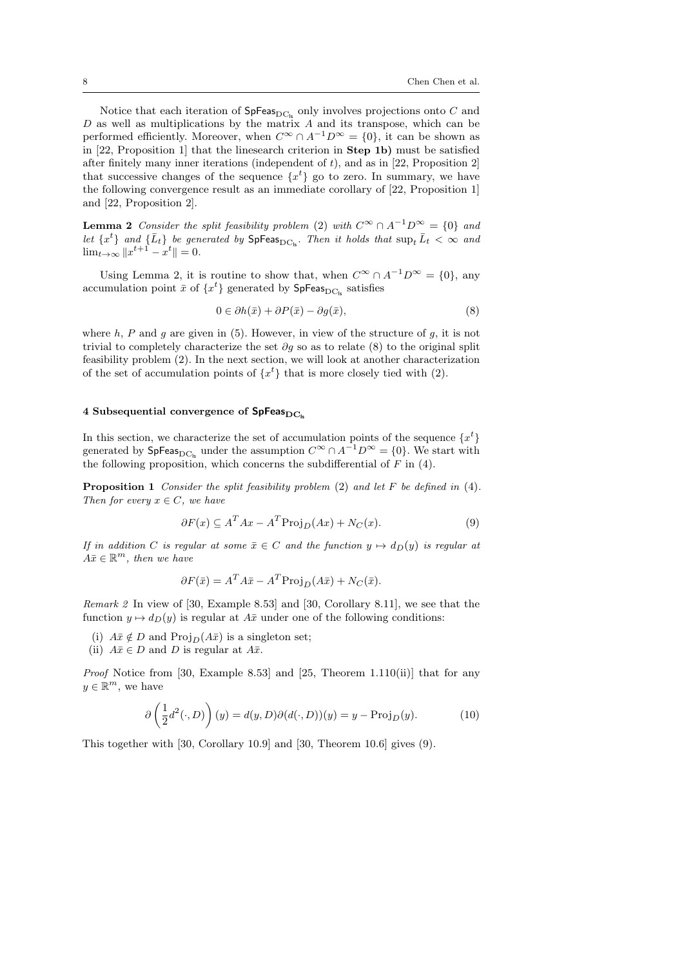Notice that each iteration of  $SpFeas_{DC|c}$  only involves projections onto C and  $D$  as well as multiplications by the matrix  $A$  and its transpose, which can be performed efficiently. Moreover, when  $C^{\infty} \cap A^{-1}D^{\infty} = \{0\}$ , it can be shown as in [22, Proposition 1] that the linesearch criterion in Step 1b) must be satisfied after finitely many inner iterations (independent of  $t$ ), and as in [22, Proposition 2] that successive changes of the sequence  $\{x^t\}$  go to zero. In summary, we have the following convergence result as an immediate corollary of [22, Proposition 1] and [22, Proposition 2].

**Lemma 2** Consider the split feasibility problem (2) with  $C^{\infty} \cap A^{-1}D^{\infty} = \{0\}$  and let  $\{x^t\}$  and  $\{\bar{L}_t\}$  be generated by  $\text{SpFeas}_{DC_{ls}}$ . Then it holds that  $\sup_t \bar{L}_t < \infty$  and  $\lim_{t \to \infty} ||x^{t+1} - x^t|| = 0.$ 

Using Lemma 2, it is routine to show that, when  $C^{\infty} \cap A^{-1}D^{\infty} = \{0\}$ , any accumulation point  $\bar{x}$  of  $\{x^t\}$  generated by  $\mathsf{SpFeas}_{\mathrm{DC}_{\mathrm{ls}}}$  satisfies

$$
0 \in \partial h(\bar{x}) + \partial P(\bar{x}) - \partial g(\bar{x}), \tag{8}
$$

where h, P and q are given in (5). However, in view of the structure of q, it is not trivial to completely characterize the set  $\partial g$  so as to relate (8) to the original split feasibility problem (2). In the next section, we will look at another characterization of the set of accumulation points of  $\{x^t\}$  that is more closely tied with (2).

### 4 Subsequential convergence of  $SpFeas_{DCL}$

In this section, we characterize the set of accumulation points of the sequence  $\{x^t\}$ generated by  $\mathsf{SpFeas}_{DC_{ls}}$  under the assumption  $C^{\infty} \cap A^{-1}D^{\infty} = \{0\}$ . We start with the following proposition, which concerns the subdifferential of  $F$  in (4).

Proposition 1 Consider the split feasibility problem (2) and let F be defined in (4). Then for every  $x \in C$ , we have

$$
\partial F(x) \subseteq A^T A x - A^T \text{Proj}_D(Ax) + N_C(x). \tag{9}
$$

If in addition C is regular at some  $\bar{x} \in C$  and the function  $y \mapsto d_D(y)$  is regular at  $A\bar{x} \in \mathbb{R}^m$ , then we have

$$
\partial F(\bar{x}) = A^T A \bar{x} - A^T \text{Proj}_D(A\bar{x}) + N_C(\bar{x}).
$$

Remark 2 In view of [30, Example 8.53] and [30, Corollary 8.11], we see that the function  $y \mapsto d_D(y)$  is regular at  $A\bar{x}$  under one of the following conditions:

- (i)  $A\bar{x} \notin D$  and  $\text{Proj}_D(A\bar{x})$  is a singleton set;
- (ii)  $A\bar{x} \in D$  and D is regular at  $A\bar{x}$ .

*Proof* Notice from [30, Example 8.53] and [25, Theorem 1.110(ii)] that for any  $y \in \mathbb{R}^m$ , we have

$$
\partial \left(\frac{1}{2}d^2(\cdot,D)\right)(y) = d(y,D)\partial (d(\cdot,D))(y) = y - \text{Proj}_D(y). \tag{10}
$$

This together with [30, Corollary 10.9] and [30, Theorem 10.6] gives (9).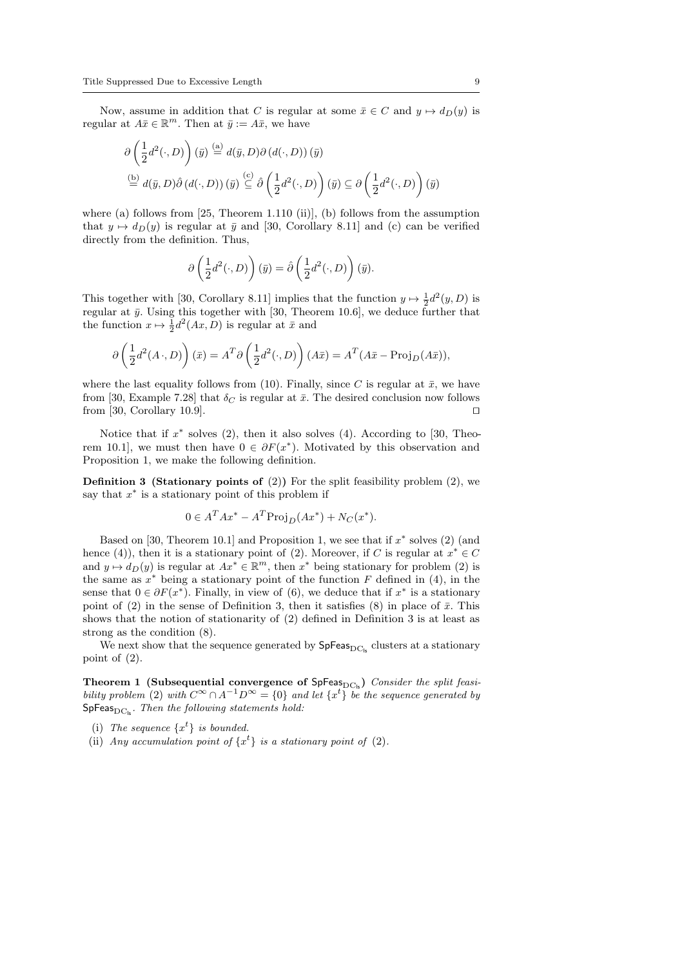Now, assume in addition that C is regular at some  $\bar{x} \in C$  and  $y \mapsto d_D(y)$  is regular at  $A\bar{x} \in \mathbb{R}^m$ . Then at  $\bar{y} := A\bar{x}$ , we have

$$
\partial \left(\frac{1}{2}d^2(\cdot,D)\right)(\bar{y}) \stackrel{\text{(a)}}{=} d(\bar{y},D)\partial (d(\cdot,D))(\bar{y})
$$
  

$$
\stackrel{\text{(b)}}{=} d(\bar{y},D)\hat{\partial} (d(\cdot,D))(\bar{y}) \stackrel{\text{(c)}}{=} \hat{\partial} \left(\frac{1}{2}d^2(\cdot,D)\right)(\bar{y}) \subseteq \partial \left(\frac{1}{2}d^2(\cdot,D)\right)(\bar{y})
$$

where (a) follows from [25, Theorem 1.110 (ii)], (b) follows from the assumption that  $y \mapsto d_D(y)$  is regular at  $\bar{y}$  and [30, Corollary 8.11] and (c) can be verified directly from the definition. Thus,

$$
\partial \left( \frac{1}{2} d^2(\cdot, D) \right) (\bar{y}) = \hat{\partial} \left( \frac{1}{2} d^2(\cdot, D) \right) (\bar{y}).
$$

This together with [30, Corollary 8.11] implies that the function  $y \mapsto \frac{1}{2}d^2(y, D)$  is regular at  $\bar{y}$ . Using this together with [30, Theorem 10.6], we deduce further that the function  $x \mapsto \frac{1}{2}d^2(Ax, D)$  is regular at  $\bar{x}$  and

$$
\partial \left( \frac{1}{2} d^2 (A \cdot, D) \right) (\bar{x}) = A^T \partial \left( \frac{1}{2} d^2 (\cdot, D) \right) (A \bar{x}) = A^T (A \bar{x} - \text{Proj}_D(A \bar{x})),
$$

where the last equality follows from (10). Finally, since C is regular at  $\bar{x}$ , we have from [30, Example 7.28] that  $\delta_C$  is regular at  $\bar{x}$ . The desired conclusion now follows from [30, Corollary 10.9].  $\Box$ 

Notice that if  $x^*$  solves (2), then it also solves (4). According to [30, Theorem 10.1, we must then have  $0 \in \partial F(x^*)$ . Motivated by this observation and Proposition 1, we make the following definition.

**Definition 3** (Stationary points of (2)) For the split feasibility problem (2), we say that  $x^*$  is a stationary point of this problem if

$$
0 \in A^T A x^* - A^T \text{Proj}_D(Ax^*) + N_C(x^*).
$$

Based on [30, Theorem 10.1] and Proposition 1, we see that if  $x^*$  solves (2) (and hence (4)), then it is a stationary point of (2). Moreover, if C is regular at  $x^* \in C$ and  $y \mapsto d_D(y)$  is regular at  $Ax^* \in \mathbb{R}^m$ , then  $x^*$  being stationary for problem (2) is the same as  $x^*$  being a stationary point of the function F defined in (4), in the sense that  $0 \in \partial F(x^*)$ . Finally, in view of (6), we deduce that if  $x^*$  is a stationary point of (2) in the sense of Definition 3, then it satisfies (8) in place of  $\bar{x}$ . This shows that the notion of stationarity of (2) defined in Definition 3 is at least as strong as the condition (8).

We next show that the sequence generated by  $\mathsf{SpFeas}_{\mathrm{DC}_{\mathrm{ls}}}$  clusters at a stationary point of (2).

Theorem 1 (Subsequential convergence of  $SpFeas_{DC_{ls}}$ ) Consider the split feasibility problem (2) with  $C^{\infty} \cap A^{-1}D^{\infty} = \{0\}$  and let  $\{x^{t}\}\$ be the sequence generated by  $SpFeas_{DCL}$ . Then the following statements hold:

- (i) The sequence  $\{x^t\}$  is bounded.
- (ii) Any accumulation point of  $\{x^t\}$  is a stationary point of (2).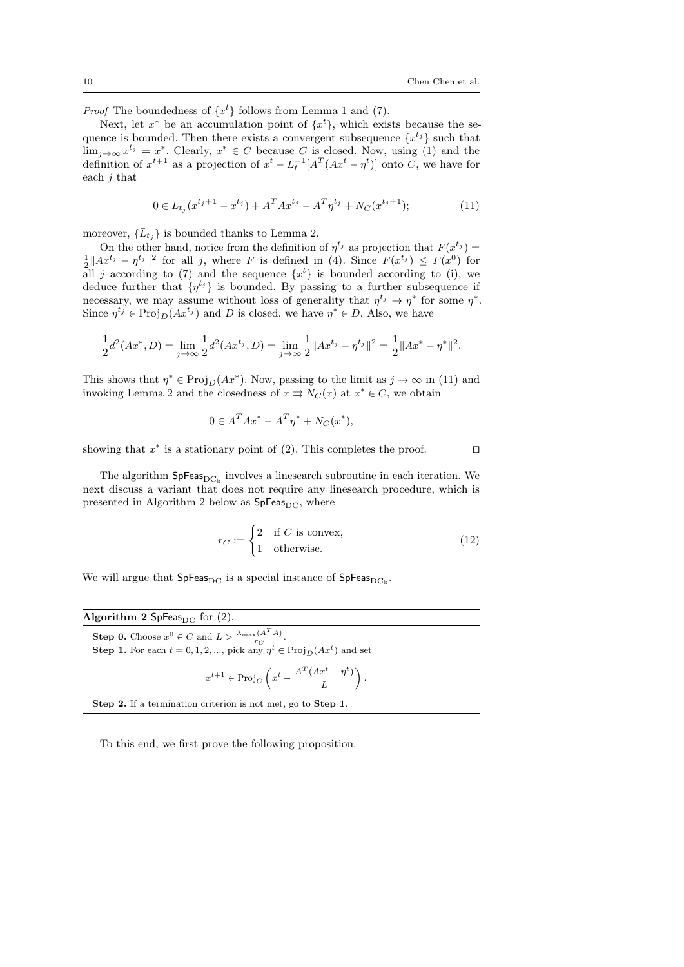*Proof* The boundedness of  $\{x^t\}$  follows from Lemma 1 and (7).

Next, let  $x^*$  be an accumulation point of  $\{x^t\}$ , which exists because the sequence is bounded. Then there exists a convergent subsequence  $\{x^{t_j}\}$  such that  $\lim_{j\to\infty} x^{t_j} = x^*$ . Clearly,  $x^* \in C$  because C is closed. Now, using (1) and the definition of  $x^{t+1}$  as a projection of  $x^t - \bar{L}_t^{-1}[A^T(Ax^t - \eta^t)]$  onto C, we have for each j that

$$
0 \in \bar{L}_{t_j}(x^{t_j+1} - x^{t_j}) + A^T A x^{t_j} - A^T \eta^{t_j} + N_C(x^{t_j+1});
$$
\n(11)

moreover,  $\{\bar{L}_{t_i}\}\$ is bounded thanks to Lemma 2.

On the other hand, notice from the definition of  $\eta^{t_j}$  as projection that  $F(x^{t_j}) =$  $\frac{1}{2}||Ax^{t_j} - \eta^{t_j}||^2$  for all j, where F is defined in (4). Since  $F(x^{t_j}) \leq F(x^0)$  for all j according to (7) and the sequence  $\{x^t\}$  is bounded according to (i), we deduce further that  $\{\eta^{t_j}\}\$ is bounded. By passing to a further subsequence if necessary, we may assume without loss of generality that  $\eta^{t_j} \to \eta^*$  for some  $\eta^*$ . Since  $\eta^{t_j} \in \text{Proj}_D(Ax^{t_j})$  and D is closed, we have  $\eta^* \in D$ . Also, we have

$$
\frac{1}{2}d^2(Ax^*, D) = \lim_{j \to \infty} \frac{1}{2}d^2(Ax^{t_j}, D) = \lim_{j \to \infty} \frac{1}{2} ||Ax^{t_j} - \eta^{t_j}||^2 = \frac{1}{2} ||Ax^* - \eta^*||^2.
$$

This shows that  $\eta^* \in \text{Proj}_D(Ax^*)$ . Now, passing to the limit as  $j \to \infty$  in (11) and invoking Lemma 2 and the closedness of  $x \implies N_C(x)$  at  $x^* \in C$ , we obtain

$$
0 \in A^T A x^* - A^T \eta^* + N_C(x^*),
$$

showing that  $x^*$  is a stationary point of (2). This completes the proof.

The algorithm  $\mathsf{SpFeas}_{\mathrm{DC}_k}$  involves a linesearch subroutine in each iteration. We next discuss a variant that does not require any linesearch procedure, which is presented in Algorithm 2 below as  $SpFeas_{DC}$ , where

$$
r_C := \begin{cases} 2 & \text{if } C \text{ is convex,} \\ 1 & \text{otherwise.} \end{cases}
$$
 (12)

We will argue that  $SpFeas_{DC}$  is a special instance of  $SpFeas_{DC|c}$ .

| Algorithm 2 SpFeas $_{\rm DC}$ for (2).                                                     |  |
|---------------------------------------------------------------------------------------------|--|
| <b>Step 0.</b> Choose $x^0 \in C$ and $L > \frac{\lambda_{\max}(A^T A)}{r_C}$ .             |  |
| <b>Step 1.</b> For each $t = 0, 1, 2, $ , pick any $\eta^t \in \text{Proj}_D(Ax^t)$ and set |  |
| $x^{t+1} \in \text{Proj}_C\left(x^t - \frac{A^T(Ax^t - \eta^t)}{L}\right).$                 |  |
| <b>Step 2.</b> If a termination criterion is not met, go to <b>Step 1</b> .                 |  |

To this end, we first prove the following proposition.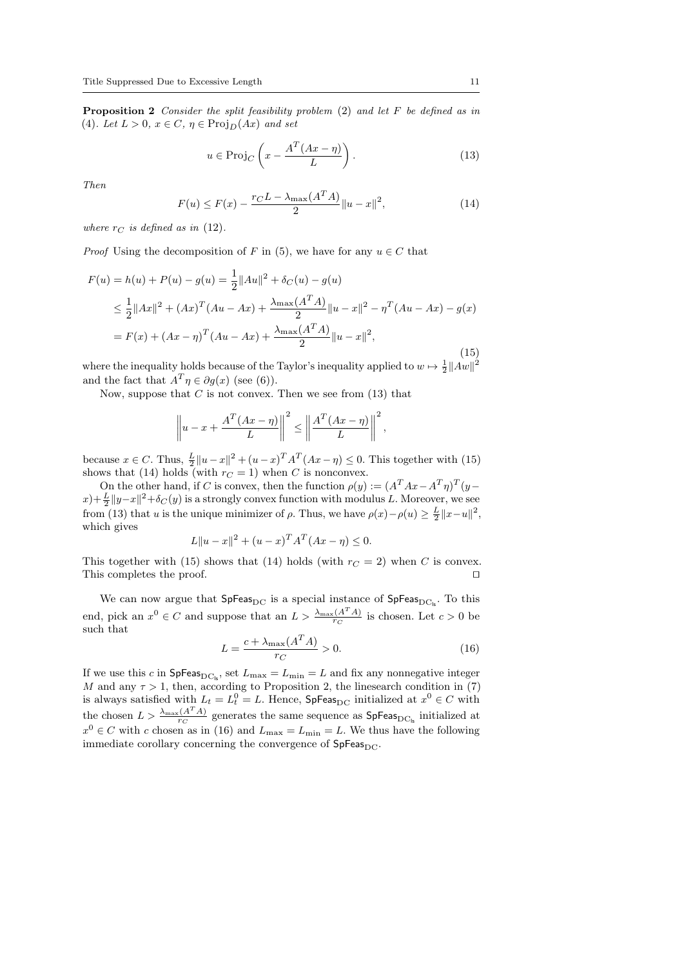**Proposition 2** Consider the split feasibility problem  $(2)$  and let F be defined as in (4). Let  $L > 0$ ,  $x \in C$ ,  $\eta \in \text{Proj}_D(Ax)$  and set

$$
u \in \text{Proj}_C\left(x - \frac{A^T(Ax - \eta)}{L}\right). \tag{13}
$$

Then

$$
F(u) \le F(x) - \frac{r_C L - \lambda_{\max}(A^T A)}{2} ||u - x||^2,
$$
\n(14)

where  $r_C$  is defined as in (12).

*Proof* Using the decomposition of F in (5), we have for any  $u \in C$  that

$$
F(u) = h(u) + P(u) - g(u) = \frac{1}{2} ||Au||^2 + \delta_C(u) - g(u)
$$
  
\n
$$
\leq \frac{1}{2} ||Ax||^2 + (Ax)^T (Au - Ax) + \frac{\lambda_{\max}(A^T A)}{2} ||u - x||^2 - \eta^T (Au - Ax) - g(x)
$$
  
\n
$$
= F(x) + (Ax - \eta)^T (Au - Ax) + \frac{\lambda_{\max}(A^T A)}{2} ||u - x||^2,
$$
\n(15)

where the inequality holds because of the Taylor's inequality applied to  $w \mapsto \frac{1}{2} ||Aw||^2$ and the fact that  $A^T \eta \in \partial g(x)$  (see (6)).

Now, suppose that C is not convex. Then we see from  $(13)$  that

$$
\left\| u - x + \frac{A^T (Ax - \eta)}{L} \right\|^2 \le \left\| \frac{A^T (Ax - \eta)}{L} \right\|^2,
$$

because  $x \in C$ . Thus,  $\frac{L}{2} ||u-x||^2 + (u-x)^T A^T (Ax - \eta) \leq 0$ . This together with (15) shows that (14) holds (with  $r_C = 1$ ) when C is nonconvex.

On the other hand, if C is convex, then the function  $\rho(y) := (A^T A x - A^T \eta)^T (y ||x\rangle + \frac{L}{2} ||y-x||^2 + \delta_C(y)$  is a strongly convex function with modulus L. Moreover, we see from (13) that u is the unique minimizer of  $\rho$ . Thus, we have  $\rho(x) - \rho(u) \ge \frac{L}{2} ||x - u||^2$ , which gives

$$
L||u - x||2 + (u - x)T AT (Ax - \eta) \le 0.
$$

This together with (15) shows that (14) holds (with  $r<sub>C</sub> = 2$ ) when C is convex. This completes the proof.  $\Box$ 

We can now argue that  $SpFeas_{DC}$  is a special instance of  $SpFeas_{DC_k}$ . To this end, pick an  $x^0 \in C$  and suppose that an  $L > \frac{\lambda_{\max}(A^T A)}{r_G}$  $\frac{c(A-A)}{rc}$  is chosen. Let  $c > 0$  be such that

$$
L = \frac{c + \lambda_{\text{max}}(A^T A)}{r_C} > 0.
$$
\n
$$
(16)
$$

If we use this c in  $\mathsf{SpFeas}_{\mathrm{DC}_k}$ , set  $L_{\mathrm{max}} = L_{\mathrm{min}} = L$  and fix any nonnegative integer M and any  $\tau > 1$ , then, according to Proposition 2, the linesearch condition in (7) is always satisfied with  $L_t = L_t^0 = L$ . Hence, SpFeas<sub>DC</sub> initialized at  $x^0 \in C$  with the chosen  $L > \frac{\lambda_{\max}(A^T A)}{r_G}$  $\frac{C(A-A)}{TC}$  generates the same sequence as SpFeas<sub>DC<sub>ls</sub></sub> initialized at  $x^0 \in C$  with c chosen as in (16) and  $L_{\text{max}} = L_{\text{min}} = L$ . We thus have the following immediate corollary concerning the convergence of  $SpFeas_{DC}$ .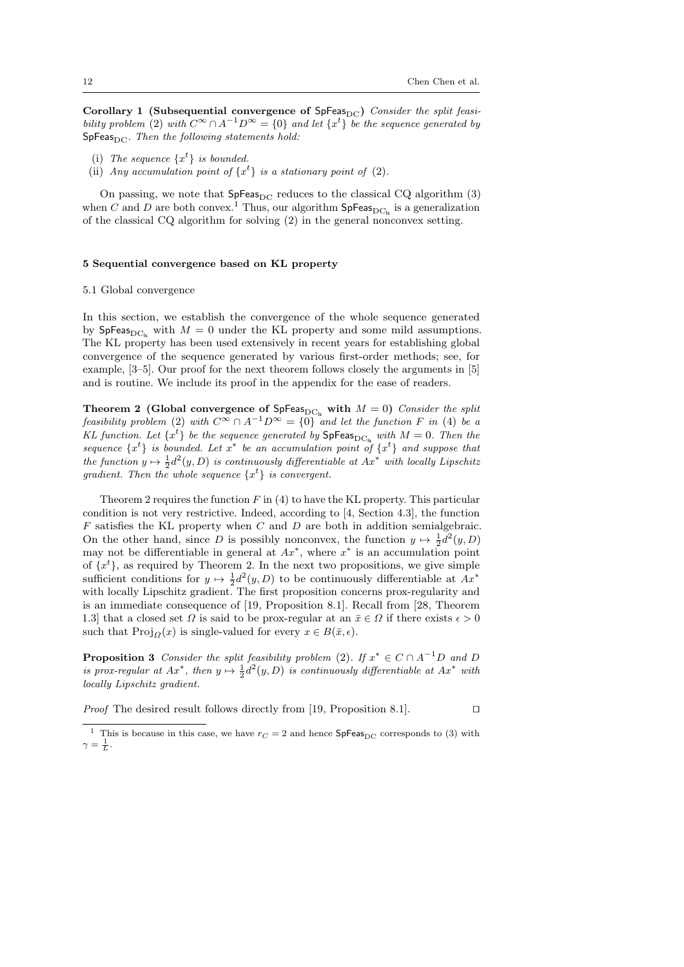Corollary 1 (Subsequential convergence of  $SpFeas_{DC}$ ) Consider the split feasibility problem (2) with  $C^{\infty} \cap A^{-1}D^{\infty} = \{0\}$  and let  $\{x^{t}\}\$  be the sequence generated by  $SpFeas_{DC}$ . Then the following statements hold:

- (i) The sequence  $\{x^t\}$  is bounded.
- (ii) Any accumulation point of  $\{x^t\}$  is a stationary point of (2).

On passing, we note that  $SpFeas_{DC}$  reduces to the classical CQ algorithm (3) when C and D are both convex.<sup>1</sup> Thus, our algorithm  $\mathsf{SpFeas}_{\mathrm{DC}_\mathsf{ls}}$  is a generalization of the classical CQ algorithm for solving (2) in the general nonconvex setting.

#### 5 Sequential convergence based on KL property

#### 5.1 Global convergence

In this section, we establish the convergence of the whole sequence generated by SpFeas<sub>DCls</sub> with  $M = 0$  under the KL property and some mild assumptions. The KL property has been used extensively in recent years for establishing global convergence of the sequence generated by various first-order methods; see, for example, [3–5]. Our proof for the next theorem follows closely the arguments in [5] and is routine. We include its proof in the appendix for the ease of readers.

Theorem 2 (Global convergence of SpFeas<sub>DC<sub>k</sub></sub> with  $M = 0$ ) Consider the split feasibility problem (2) with  $C^{\infty} \cap A^{-1}D^{\infty} = \{0\}$  and let the function F in (4) be a KL function. Let  $\{x^t\}$  be the sequence generated by  $\text{SpFeas}_{\text{DC}_\text{ls}}$  with  $M = 0$ . Then the sequence  $\{x^t\}$  is bounded. Let  $x^*$  be an accumulation point of  $\{x^t\}$  and suppose that the function  $y \mapsto \frac{1}{2}d^2(y, D)$  is continuously differentiable at  $Ax^*$  with locally Lipschitz gradient. Then the whole sequence  $\{x^t\}$  is convergent.

Theorem 2 requires the function  $F$  in (4) to have the KL property. This particular condition is not very restrictive. Indeed, according to [4, Section 4.3], the function  $F$  satisfies the KL property when  $C$  and  $D$  are both in addition semialgebraic. On the other hand, since D is possibly nonconvex, the function  $y \mapsto \frac{1}{2}d^2(y,D)$ may not be differentiable in general at  $Ax^*$ , where  $x^*$  is an accumulation point of  $\{x^t\}$ , as required by Theorem 2. In the next two propositions, we give simple sufficient conditions for  $y \mapsto \frac{1}{2}d^2(y, D)$  to be continuously differentiable at  $Ax^*$ with locally Lipschitz gradient. The first proposition concerns prox-regularity and is an immediate consequence of [19, Proposition 8.1]. Recall from [28, Theorem 1.3] that a closed set  $\Omega$  is said to be prox-regular at an  $\bar{x} \in \Omega$  if there exists  $\epsilon > 0$ such that  $\text{Proj}_{\Omega}(x)$  is single-valued for every  $x \in B(\bar{x}, \epsilon)$ .

**Proposition 3** Consider the split feasibility problem (2). If  $x^* \in C \cap A^{-1}D$  and D is prox-regular at  $Ax^*$ , then  $y \mapsto \frac{1}{2}d^2(y,D)$  is continuously differentiable at  $Ax^*$  with locally Lipschitz gradient.

*Proof* The desired result follows directly from [19, Proposition 8.1].  $\Box$ 

<sup>&</sup>lt;sup>1</sup> This is because in this case, we have  $r_C = 2$  and hence  $SpFeas_{DC}$  corresponds to (3) with  $\gamma = \frac{1}{L}$ .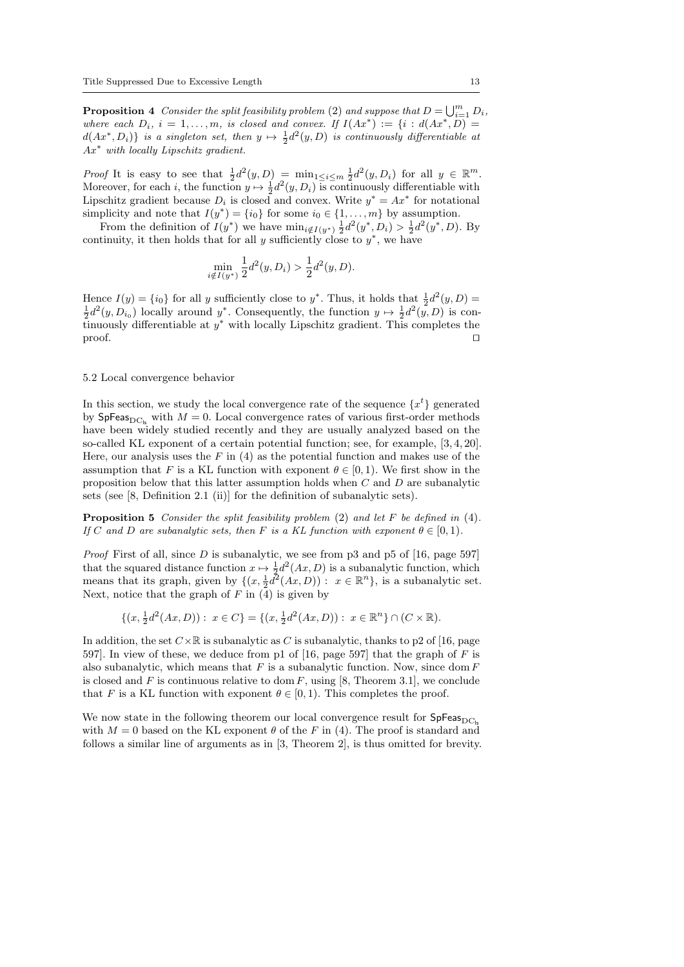**Proposition 4** Consider the split feasibility problem (2) and suppose that  $D = \bigcup_{i=1}^{m} D_i$ , where each  $D_i$ ,  $i = 1, ..., m$ , is closed and convex. If  $I(Ax^*) := \{i : d(Ax^*, D) =$  $d(Ax^*, D_i)$  is a singleton set, then  $y \mapsto \frac{1}{2}d^2(y, D)$  is continuously differentiable at  $Ax^*$  with locally Lipschitz gradient.

Proof It is easy to see that  $\frac{1}{2}d^2(y,D) = \min_{1 \leq i \leq m} \frac{1}{2}d^2(y,D_i)$  for all  $y \in \mathbb{R}^m$ . Moreover, for each *i*, the function  $y \mapsto \frac{1}{2}d^2(y, D_i)$  is continuously differentiable with Lipschitz gradient because  $D_i$  is closed and convex. Write  $y^* = Ax^*$  for notational simplicity and note that  $I(y^*) = \{i_0\}$  for some  $i_0 \in \{1, ..., m\}$  by assumption.

From the definition of  $I(y^*)$  we have  $\min_{i \notin I(y^*)} \frac{1}{2} d^2(y^*, D_i) > \frac{1}{2} d^2(y^*, D)$ . By continuity, it then holds that for all y sufficiently close to  $y^*$ , we have

$$
\min_{i \notin I(y^*)} \frac{1}{2} d^2(y, D_i) > \frac{1}{2} d^2(y, D).
$$

Hence  $I(y) = \{i_0\}$  for all y sufficiently close to y<sup>\*</sup>. Thus, it holds that  $\frac{1}{2}d^2(y,D) =$  $\frac{1}{2}d^2(y, D_{i_0})$  locally around  $y^*$ . Consequently, the function  $y \mapsto \frac{1}{2}d^2(y, D)$  is continuously differentiable at  $y^*$  with locally Lipschitz gradient. This completes the  $\Box$  proof.

# 5.2 Local convergence behavior

In this section, we study the local convergence rate of the sequence  $\{x^t\}$  generated by SpFeas<sub>DCls</sub> with  $M = 0$ . Local convergence rates of various first-order methods have been widely studied recently and they are usually analyzed based on the so-called KL exponent of a certain potential function; see, for example, [3, 4, 20]. Here, our analysis uses the  $F$  in (4) as the potential function and makes use of the assumption that F is a KL function with exponent  $\theta \in [0, 1)$ . We first show in the proposition below that this latter assumption holds when C and D are subanalytic sets (see [8, Definition 2.1 (ii)] for the definition of subanalytic sets).

**Proposition 5** Consider the split feasibility problem  $(2)$  and let F be defined in  $(4)$ . If C and D are subanalytic sets, then F is a KL function with exponent  $\theta \in [0,1)$ .

*Proof* First of all, since  $D$  is subanalytic, we see from p3 and p5 of [16, page 597] that the squared distance function  $x \mapsto \frac{1}{2}d^2(Ax, D)$  is a subanalytic function, which means that its graph, given by  $\{(x, \frac{1}{2}d^2(Ax, D)) : x \in \mathbb{R}^n\}$ , is a subanalytic set. Next, notice that the graph of  $F$  in  $(4)$  is given by

 $\{(x, \frac{1}{2}d^2(Ax, D)) : x \in C\} = \{(x, \frac{1}{2}d^2(Ax, D)) : x \in \mathbb{R}^n\} \cap (C \times \mathbb{R}).$ 

In addition, the set  $C\times\mathbb{R}$  is subanalytic as C is subanalytic, thanks to p2 of [16, page 597]. In view of these, we deduce from p1 of [16, page 597] that the graph of F is also subanalytic, which means that  $F$  is a subanalytic function. Now, since dom  $F$ is closed and F is continuous relative to dom F, using  $[8,$  Theorem 3.1], we conclude that F is a KL function with exponent  $\theta \in [0, 1)$ . This completes the proof.

We now state in the following theorem our local convergence result for  $SpFeas_{DC}$ with  $M = 0$  based on the KL exponent  $\theta$  of the F in (4). The proof is standard and follows a similar line of arguments as in [3, Theorem 2], is thus omitted for brevity.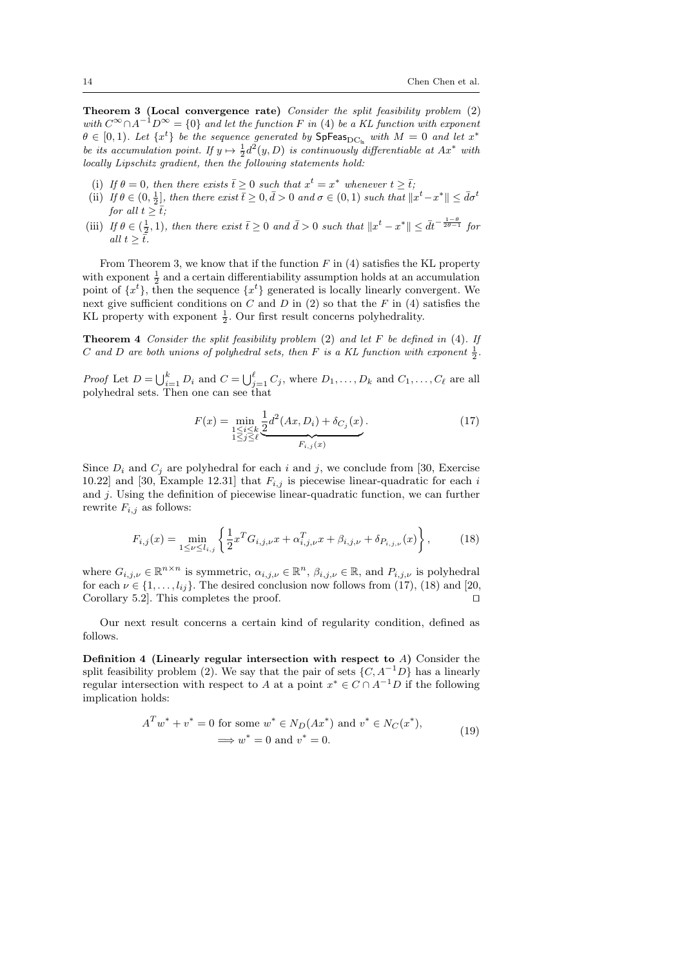Theorem 3 (Local convergence rate) Consider the split feasibility problem (2) with  $C^{\infty} \cap A^{-1}D^{\infty} = \{0\}$  and let the function F in (4) be a KL function with exponent  $\theta \in [0,1)$ . Let  $\{x^t\}$  be the sequence generated by  $\text{SpFeas}_{\text{DC}_\text{ls}}$  with  $M = 0$  and let  $x^*$ be its accumulation point. If  $y \mapsto \frac{1}{2}d^2(y,D)$  is continuously differentiable at  $Ax^*$  with locally Lipschitz gradient, then the following statements hold:

- (i) If  $\theta = 0$ , then there exists  $\bar{t} \geq 0$  such that  $x^t = x^*$  whenever  $t \geq \bar{t}$ ;
- (ii) If  $\theta \in (0, \frac{1}{2}]$ , then there exist  $\bar{t} \geq 0, \bar{d} > 0$  and  $\sigma \in (0, 1)$  such that  $||x^t x^*|| \leq \bar{d}\sigma^t$ for all  $t \geq \overline{t}$ ;
- (iii) If  $\theta \in (\frac{1}{2}, 1)$ , then there exist  $\bar{t} \geq 0$  and  $\bar{d} > 0$  such that  $||x^t x^*|| \leq d\bar{t}^{-\frac{1-\theta}{2\theta-1}}$  for all  $t \geq \overline{t}$ .

From Theorem 3, we know that if the function  $F$  in (4) satisfies the KL property with exponent  $\frac{1}{2}$  and a certain differentiability assumption holds at an accumulation point of  $\{x^t\}$ , then the sequence  $\{x^t\}$  generated is locally linearly convergent. We next give sufficient conditions on  $C$  and  $D$  in  $(2)$  so that the  $F$  in  $(4)$  satisfies the KL property with exponent  $\frac{1}{2}$ . Our first result concerns polyhedrality.

**Theorem 4** Consider the split feasibility problem  $(2)$  and let F be defined in  $(4)$ . If C and D are both unions of polyhedral sets, then F is a KL function with exponent  $\frac{1}{2}$ .

*Proof* Let  $D = \bigcup_{i=1}^k D_i$  and  $C = \bigcup_{j=1}^{\ell} C_j$ , where  $D_1, \ldots, D_k$  and  $C_1, \ldots, C_{\ell}$  are all polyhedral sets. Then one can see that

$$
F(x) = \min_{\substack{1 \le i \le k \\ 1 \le j \le \ell}} \frac{1}{2} d^2(Ax, D_i) + \delta_{C_j}(x).
$$
\n(17)

Since  $D_i$  and  $C_j$  are polyhedral for each i and j, we conclude from [30, Exercise 10.22] and [30, Example 12.31] that  $F_{i,j}$  is piecewise linear-quadratic for each i and j. Using the definition of piecewise linear-quadratic function, we can further rewrite  $F_{i,j}$  as follows:

$$
F_{i,j}(x) = \min_{1 \le \nu \le l_{i,j}} \left\{ \frac{1}{2} x^T G_{i,j,\nu} x + \alpha_{i,j,\nu}^T x + \beta_{i,j,\nu} + \delta_{P_{i,j,\nu}}(x) \right\},\tag{18}
$$

where  $G_{i,j,\nu} \in \mathbb{R}^{n \times n}$  is symmetric,  $\alpha_{i,j,\nu} \in \mathbb{R}^n$ ,  $\beta_{i,j,\nu} \in \mathbb{R}$ , and  $P_{i,j,\nu}$  is polyhedral for each  $\nu \in \{1, \ldots, l_{ij}\}$ . The desired conclusion now follows from (17), (18) and [20, Corollary 5.2. This completes the proof.  $\square$ 

Our next result concerns a certain kind of regularity condition, defined as follows.

Definition 4 (Linearly regular intersection with respect to A) Consider the split feasibility problem (2). We say that the pair of sets  $\{C, A^{-1}D\}$  has a linearly regular intersection with respect to A at a point  $x^* \in C \cap A^{-1}D$  if the following implication holds:

$$
ATw^* + v^* = 0
$$
 for some  $w^* \in N_D(Ax^*)$  and  $v^* \in N_C(x^*),$   
 $\implies w^* = 0$  and  $v^* = 0.$  (19)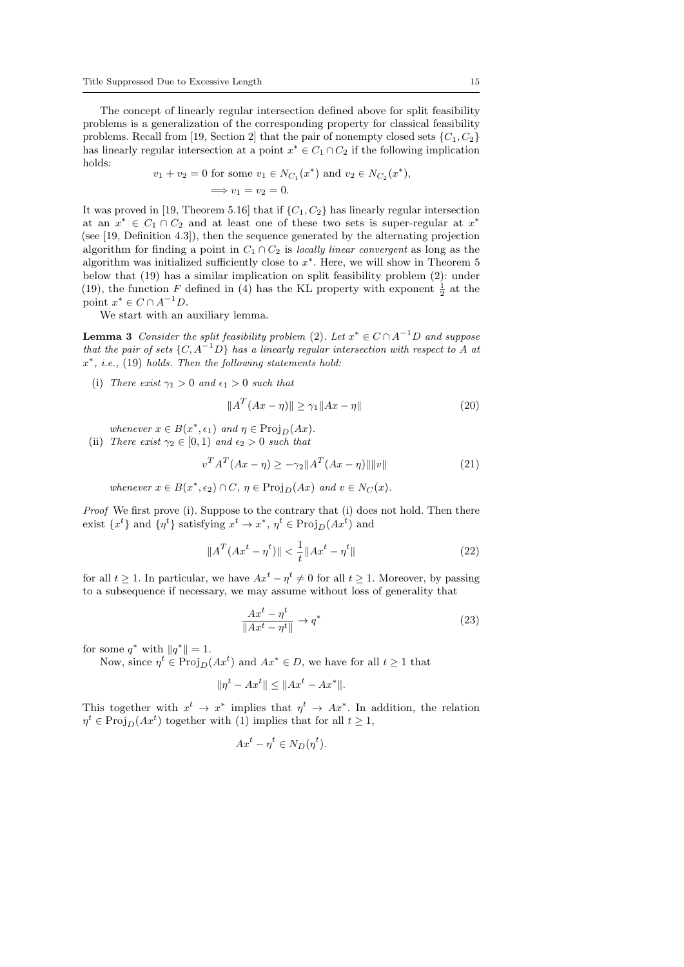The concept of linearly regular intersection defined above for split feasibility problems is a generalization of the corresponding property for classical feasibility problems. Recall from [19, Section 2] that the pair of nonempty closed sets  $\{C_1, C_2\}$ has linearly regular intersection at a point  $x^* \in C_1 \cap C_2$  if the following implication holds:

$$
v_1 + v_2 = 0
$$
 for some  $v_1 \in N_{C_1}(x^*)$  and  $v_2 \in N_{C_2}(x^*)$ ,  
\n $\implies v_1 = v_2 = 0.$ 

It was proved in [19, Theorem 5.16] that if  $\{C_1, C_2\}$  has linearly regular intersection at an  $x^* \in C_1 \cap C_2$  and at least one of these two sets is super-regular at  $x^*$ (see [19, Definition 4.3]), then the sequence generated by the alternating projection algorithm for finding a point in  $C_1 \cap C_2$  is locally linear convergent as long as the algorithm was initialized sufficiently close to  $x^*$ . Here, we will show in Theorem 5 below that (19) has a similar implication on split feasibility problem (2): under (19), the function F defined in (4) has the KL property with exponent  $\frac{1}{2}$  at the point  $x^* \in C \cap A^{-1}D$ .

We start with an auxiliary lemma.

**Lemma 3** Consider the split feasibility problem (2). Let  $x^* \in C \cap A^{-1}D$  and suppose that the pair of sets  $\{C, A^{-1}D\}$  has a linearly regular intersection with respect to A at  $x^*$ , i.e., (19) holds. Then the following statements hold:

(i) There exist  $\gamma_1 > 0$  and  $\epsilon_1 > 0$  such that

$$
||AT(Ax - \eta)|| \ge \gamma_1 ||Ax - \eta|| \tag{20}
$$

whenever  $x \in B(x^*, \epsilon_1)$  and  $\eta \in \text{Proj}_D(Ax)$ .

(ii) There exist  $\gamma_2 \in [0,1)$  and  $\epsilon_2 > 0$  such that

$$
v^T A^T (Ax - \eta) \ge -\gamma_2 \|A^T (Ax - \eta)\| \|v\| \tag{21}
$$

whenever  $x \in B(x^*, \epsilon_2) \cap C$ ,  $\eta \in \text{Proj}_D(Ax)$  and  $v \in N_C(x)$ .

Proof We first prove (i). Suppose to the contrary that (i) does not hold. Then there exist  $\{x^t\}$  and  $\{\eta^t\}$  satisfying  $x^t \to x^*$ ,  $\eta^t \in \text{Proj}_D(Ax^t)$  and

$$
||AT(Axt - \etat)|| < \frac{1}{t} ||Axt - \etat||
$$
\n(22)

for all  $t \geq 1$ . In particular, we have  $Ax^{t} - \eta^{t} \neq 0$  for all  $t \geq 1$ . Moreover, by passing to a subsequence if necessary, we may assume without loss of generality that

$$
\frac{Ax^t - \eta^t}{\|Ax^t - \eta^t\|} \to q^*
$$
\n(23)

for some  $q^*$  with  $||q^*|| = 1$ .

Now, since  $\eta^t \in \text{Proj}_D(Ax^t)$  and  $Ax^* \in D$ , we have for all  $t \ge 1$  that

$$
\|\eta^t - Ax^t\| \le \|Ax^t - Ax^*\|.
$$

This together with  $x^t \to x^*$  implies that  $\eta^t \to Ax^*$ . In addition, the relation  $\eta^t \in \text{Proj}_D(Ax^t)$  together with (1) implies that for all  $t \ge 1$ ,

$$
Ax^{t} - \eta^{t} \in N_D(\eta^{t}).
$$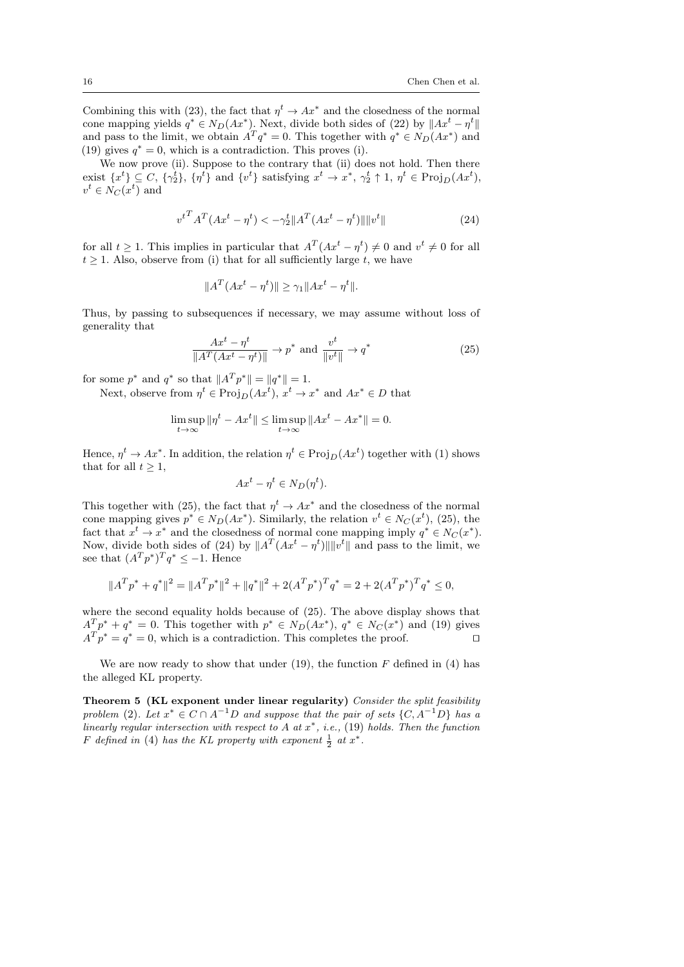Combining this with (23), the fact that  $\eta^t \to Ax^*$  and the closedness of the normal cone mapping yields  $q^* \in N_D(Ax^*)$ . Next, divide both sides of (22) by  $||Ax^t - \eta^t||$ and pass to the limit, we obtain  $A^T q^* = 0$ . This together with  $q^* \in N_D(Ax^*)$  and (19) gives  $q^* = 0$ , which is a contradiction. This proves (i).

We now prove (ii). Suppose to the contrary that (ii) does not hold. Then there exist  $\{x^t\} \subseteq C$ ,  $\{\gamma_2^t\}$ ,  $\{\eta^t\}$  and  $\{v^t\}$  satisfying  $x^t \to x^*$ ,  $\gamma_2^t \uparrow 1$ ,  $\eta^t \in \text{Proj}_D(Ax^t)$ ,  $v^t \in N_C(x^t)$  and

$$
v^{t} A^{T} (Ax^{t} - \eta^{t}) < -\gamma_{2}^{t} \|A^{T} (Ax^{t} - \eta^{t})\| \|v^{t}\|
$$
\n(24)

for all  $t \geq 1$ . This implies in particular that  $A^T(Ax^t - \eta^t) \neq 0$  and  $v^t \neq 0$  for all  $t > 1$ . Also, observe from (i) that for all sufficiently large t, we have

$$
||A^T(Ax^t - \eta^t)|| \ge \gamma_1 ||Ax^t - \eta^t||.
$$

Thus, by passing to subsequences if necessary, we may assume without loss of generality that

$$
\frac{Ax^t - \eta^t}{\|A^T(Ax^t - \eta^t)\|} \to p^* \text{ and } \frac{v^t}{\|v^t\|} \to q^* \tag{25}
$$

for some  $p^*$  and  $q^*$  so that  $||A^T p^*|| = ||q^*|| = 1$ .

Next, observe from  $\eta^t \in \text{Proj}_D(Ax^t)$ ,  $x^t \to x^*$  and  $Ax^* \in D$  that

$$
\limsup_{t \to \infty} \|\eta^t - Ax^t\| \le \limsup_{t \to \infty} \|Ax^t - Ax^*\| = 0.
$$

Hence,  $\eta^t \to Ax^*$ . In addition, the relation  $\eta^t \in \text{Proj}_D(Ax^t)$  together with (1) shows that for all  $t > 1$ ,

$$
Ax^{t} - \eta^{t} \in N_D(\eta^{t}).
$$

This together with (25), the fact that  $\eta^t \to Ax^*$  and the closedness of the normal cone mapping gives  $p^* \in N_D(Ax^*)$ . Similarly, the relation  $v^t \in N_C(x^t)$ , (25), the fact that  $x^t \to x^*$  and the closedness of normal cone mapping imply  $q^* \in N_C(x^*)$ . Now, divide both sides of (24) by  $||A^T(Ax^t - \eta^t)|| ||v^t||$  and pass to the limit, we see that  $(A^T p^*)^T q^* \leq -1$ . Hence

$$
||A^T p^* + q^*||^2 = ||A^T p^*||^2 + ||q^*||^2 + 2(A^T p^*)^T q^* = 2 + 2(A^T p^*)^T q^* \le 0,
$$

where the second equality holds because of (25). The above display shows that  $A^T p^* + q^* = 0$ . This together with  $p^* \in N_D(Ax^*)$ ,  $q^* \in N_C(x^*)$  and (19) gives  $A^T p^* = q^* = 0$ , which is a contradiction. This completes the proof.

We are now ready to show that under  $(19)$ , the function F defined in  $(4)$  has the alleged KL property.

Theorem 5 (KL exponent under linear regularity) Consider the split feasibility problem (2). Let  $x^* \in C \cap A^{-1}D$  and suppose that the pair of sets  $\{C, A^{-1}D\}$  has a linearly regular intersection with respect to A at  $x^*$ , i.e., (19) holds. Then the function F defined in (4) has the KL property with exponent  $\frac{1}{2}$  at  $x^*$ .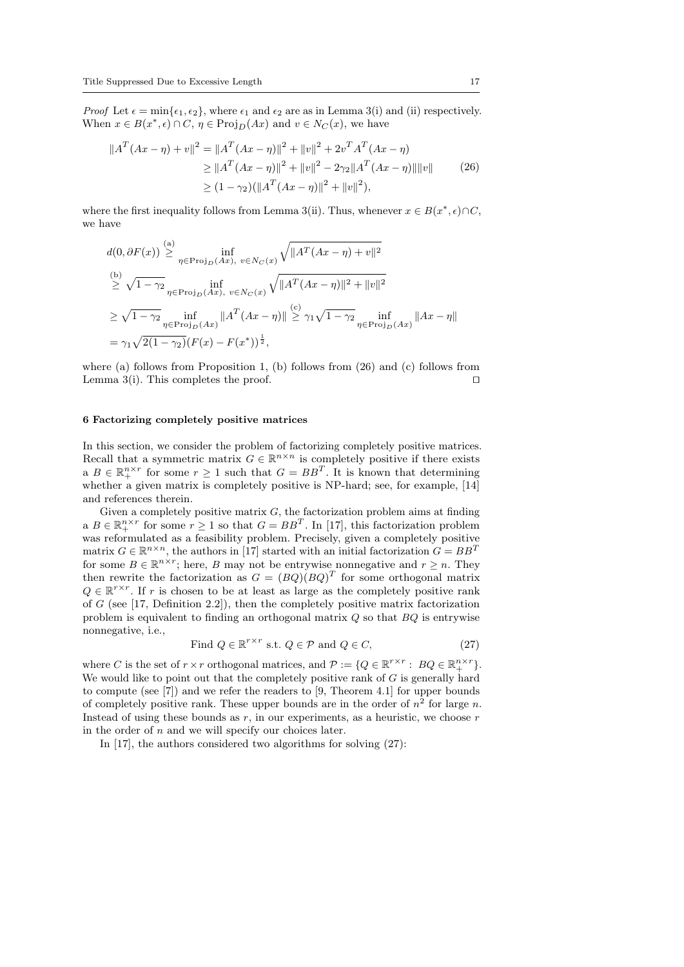*Proof* Let  $\epsilon = \min\{\epsilon_1, \epsilon_2\}$ , where  $\epsilon_1$  and  $\epsilon_2$  are as in Lemma 3(i) and (ii) respectively. When  $x \in B(x^*, \epsilon) \cap C$ ,  $\eta \in \text{Proj}_D(Ax)$  and  $v \in N_C(x)$ , we have

$$
||AT(Ax - \eta) + v||2 = ||AT(Ax - \eta)||2 + ||v||2 + 2vTAT(Ax - \eta)
$$
  
\n
$$
\ge ||AT(Ax - \eta)||2 + ||v||2 - 2\gamma_2||AT(Ax - \eta)||||v||
$$
 (26)  
\n
$$
\ge (1 - \gamma_2)(||AT(Ax - \eta)||2 + ||v||2),
$$

where the first inequality follows from Lemma 3(ii). Thus, whenever  $x \in B(x^*, \epsilon) \cap C$ , we have

$$
d(0, \partial F(x)) \stackrel{\text{(a)}}{\geq} \inf_{\eta \in \text{Proj}_D(Ax), v \in N_C(x)} \sqrt{\|A^T(Ax - \eta) + v\|^2}
$$
  
\n
$$
\stackrel{\text{(b)}}{\geq} \sqrt{1 - \gamma_2} \inf_{\eta \in \text{Proj}_D(Ax), v \in N_C(x)} \sqrt{\|A^T(Ax - \eta)\|^2 + \|v\|^2}
$$
  
\n
$$
\geq \sqrt{1 - \gamma_2} \inf_{\eta \in \text{Proj}_D(Ax)} \|A^T(Ax - \eta)\| \stackrel{\text{(c)}}{\geq} \gamma_1 \sqrt{1 - \gamma_2} \inf_{\eta \in \text{Proj}_D(Ax)} \|Ax - \eta\|
$$
  
\n
$$
= \gamma_1 \sqrt{2(1 - \gamma_2)} (F(x) - F(x^*))^{\frac{1}{2}},
$$

where (a) follows from Proposition 1, (b) follows from  $(26)$  and (c) follows from Lemma 3(i). This completes the proof.  $\Box$ 

# 6 Factorizing completely positive matrices

In this section, we consider the problem of factorizing completely positive matrices. Recall that a symmetric matrix  $G \in \mathbb{R}^{n \times n}$  is completely positive if there exists a  $B \in \mathbb{R}^{n \times r}_+$  for some  $r \geq 1$  such that  $G = BB^T$ . It is known that determining whether a given matrix is completely positive is NP-hard; see, for example,  $[14]$ and references therein.

Given a completely positive matrix  $G$ , the factorization problem aims at finding a  $B \in \mathbb{R}^{n \times r}_+$  for some  $r \geq 1$  so that  $G = BB^T$ . In [17], this factorization problem was reformulated as a feasibility problem. Precisely, given a completely positive matrix  $G \in \mathbb{R}^{n \times n}$ , the authors in [17] started with an initial factorization  $G = BB^T$ for some  $B \in \mathbb{R}^{n \times r}$ ; here, B may not be entrywise nonnegative and  $r \geq n$ . They then rewrite the factorization as  $G = (BQ)(BQ)^T$  for some orthogonal matrix  $Q \in \mathbb{R}^{r \times r}$ . If r is chosen to be at least as large as the completely positive rank of  $G$  (see [17, Definition 2.2]), then the completely positive matrix factorization problem is equivalent to finding an orthogonal matrix Q so that BQ is entrywise nonnegative, i.e.,

Find 
$$
Q \in \mathbb{R}^{r \times r}
$$
 s.t.  $Q \in \mathcal{P}$  and  $Q \in C$ , 
$$
(27)
$$

where C is the set of  $r \times r$  orthogonal matrices, and  $\mathcal{P} := \{Q \in \mathbb{R}^{r \times r} : BQ \in \mathbb{R}^{n \times r}\}.$ We would like to point out that the completely positive rank of  $G$  is generally hard to compute (see [7]) and we refer the readers to [9, Theorem 4.1] for upper bounds of completely positive rank. These upper bounds are in the order of  $n^2$  for large n. Instead of using these bounds as  $r$ , in our experiments, as a heuristic, we choose  $r$ in the order of  $n$  and we will specify our choices later.

In [17], the authors considered two algorithms for solving (27):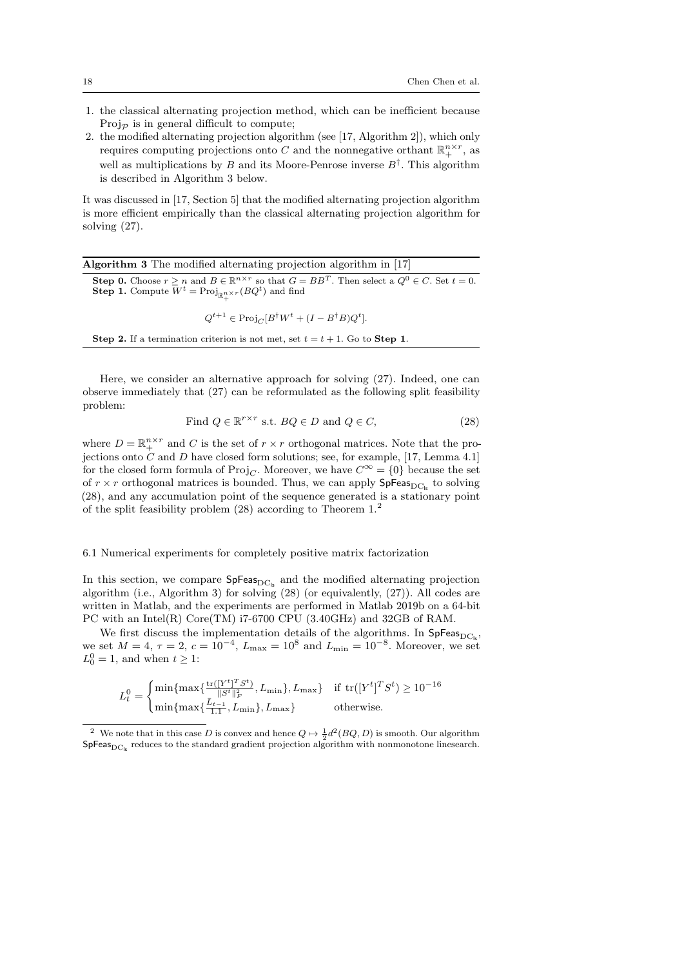- 1. the classical alternating projection method, which can be inefficient because Proj $_{\mathcal{P}}$  is in general difficult to compute;
- 2. the modified alternating projection algorithm (see [17, Algorithm 2]), which only requires computing projections onto C and the nonnegative orthant  $\mathbb{R}^{n \times r}_+$ , as well as multiplications by B and its Moore-Penrose inverse  $B^{\dagger}$ . This algorithm is described in Algorithm 3 below.

It was discussed in [17, Section 5] that the modified alternating projection algorithm is more efficient empirically than the classical alternating projection algorithm for solving (27).

Algorithm 3 The modified alternating projection algorithm in [17]

**Step 0.** Choose  $r \ge n$  and  $B \in \mathbb{R}^{n \times r}$  so that  $G = BB^T$ . Then select a  $Q^0 \in C$ . Set  $t = 0$ . **Step 1.** Compute  $W^t = \text{Proj}_{\mathbb{R}^{n \times r}_+}(BQ^t)$  and find

 $Q^{t+1} \in \text{Proj}_C[B^{\dagger}W^t + (I - B^{\dagger}B)Q^t].$ 

Step 2. If a termination criterion is not met, set  $t = t + 1$ . Go to Step 1.

Here, we consider an alternative approach for solving (27). Indeed, one can observe immediately that (27) can be reformulated as the following split feasibility problem:

Find 
$$
Q \in \mathbb{R}^{r \times r}
$$
 s.t.  $BQ \in D$  and  $Q \in C$ , 
$$
(28)
$$

where  $D = \mathbb{R}^{n \times r}_+$  and C is the set of  $r \times r$  orthogonal matrices. Note that the projections onto  $C$  and  $D$  have closed form solutions; see, for example, [17, Lemma 4.1] for the closed form formula of  $\text{Proj}_C$ . Moreover, we have  $C^{\infty} = \{0\}$  because the set of  $r \times r$  orthogonal matrices is bounded. Thus, we can apply  $\mathsf{SpFeas}_{\mathrm{DC}_{\mathrm{ls}}}$  to solving (28), and any accumulation point of the sequence generated is a stationary point of the split feasibility problem (28) according to Theorem 1.<sup>2</sup>

#### 6.1 Numerical experiments for completely positive matrix factorization

In this section, we compare  $SpFeas_{DC_5}$  and the modified alternating projection algorithm (i.e., Algorithm 3) for solving (28) (or equivalently, (27)). All codes are written in Matlab, and the experiments are performed in Matlab 2019b on a 64-bit PC with an Intel(R) Core(TM) i7-6700 CPU (3.40GHz) and 32GB of RAM.

We first discuss the implementation details of the algorithms. In  $SpFeas_{DC_k}$ , we set  $M = 4$ ,  $\tau = 2$ ,  $c = 10^{-4}$ ,  $L_{\text{max}} = 10^{8}$  and  $L_{\text{min}} = 10^{-8}$ . Moreover, we set  $L_0^0 = 1$ , and when  $t \geq 1$ :

$$
L_t^0 = \begin{cases} \min\{\max\{\frac{\text{tr}([Y^t]^T S^t)}{\|S^t\|_F^2}, L_{\min}\}, L_{\max}\} & \text{if } \text{tr}([Y^t]^T S^t) \ge 10^{-16} \\ \min\{\max\{\frac{\bar{L}_{t-1}}{1.1}, L_{\min}\}, L_{\max}\} & \text{otherwise.} \end{cases}
$$

<sup>&</sup>lt;sup>2</sup> We note that in this case D is convex and hence  $Q \mapsto \frac{1}{2}d^2(BQ, D)$  is smooth. Our algorithm  $SpFeas<sub>DC<sub>k</sub></sub>$  reduces to the standard gradient projection algorithm with nonmonotone linesearch.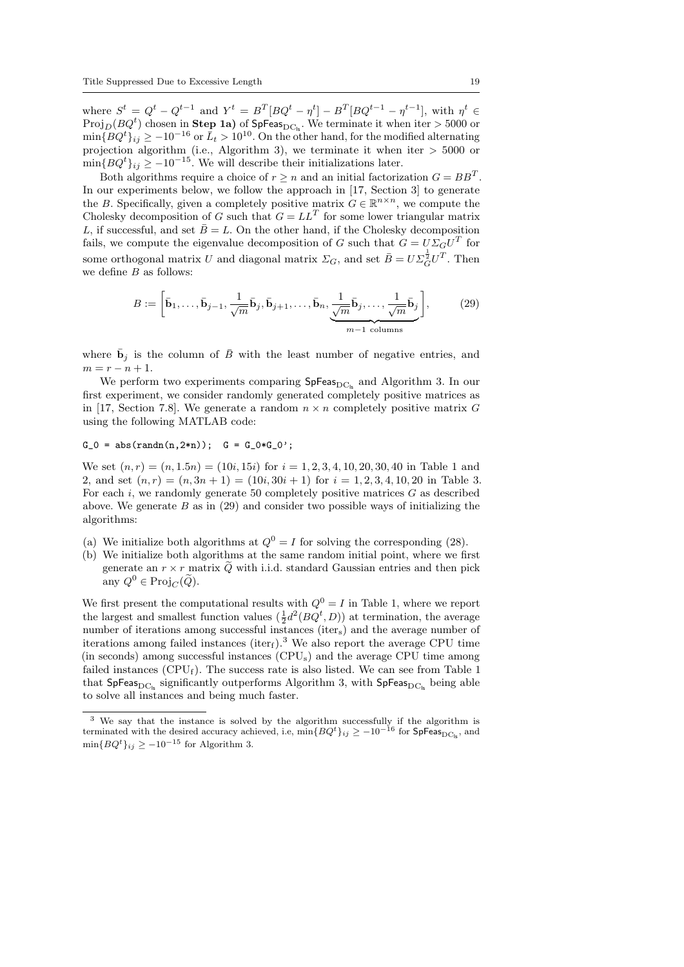where  $S^t = Q^t - Q^{t-1}$  and  $Y^t = B^T [BQ^t - \eta^t] - B^T [BQ^{t-1} - \eta^{t-1}]$ , with  $\eta^t \in$ Proj<sub>D</sub>( $BQ<sup>t</sup>$ ) chosen in Step 1a) of SpFeas<sub>DC<sub>ls</sub>. We terminate it when iter > 5000 or</sub>  $\min\{BQ^t\}_{ij} \ge -10^{-16}$  or  $\bar{L}_t > 10^{10}$ . On the other hand, for the modified alternating projection algorithm (i.e., Algorithm 3), we terminate it when iter > 5000 or  $\min\{BQ^t\}_{ij} \ge -10^{-15}$ . We will describe their initializations later.

Both algorithms require a choice of  $r \geq n$  and an initial factorization  $G = BB^T$ . In our experiments below, we follow the approach in [17, Section 3] to generate the B. Specifically, given a completely positive matrix  $G \in \mathbb{R}^{n \times n}$ , we compute the Cholesky decomposition of G such that  $G = LL^T$  for some lower triangular matrix L, if successful, and set  $\bar{B}=L$ . On the other hand, if the Cholesky decomposition fails, we compute the eigenvalue decomposition of G such that  $G = U \Sigma_G U^T$  for some orthogonal matrix  $U$  and diagonal matrix  $\Sigma_G$ , and set  $\bar{B} = U \Sigma_G^{\frac{1}{2}} U^T$ . Then we define  $B$  as follows:

$$
B := \left[\bar{\mathbf{b}}_1, \dots, \bar{\mathbf{b}}_{j-1}, \frac{1}{\sqrt{m}} \bar{\mathbf{b}}_j, \bar{\mathbf{b}}_{j+1}, \dots, \bar{\mathbf{b}}_n, \underbrace{\frac{1}{\sqrt{m}} \bar{\mathbf{b}}_j, \dots, \frac{1}{\sqrt{m}} \bar{\mathbf{b}}_j}_{m-1 \text{ columns}}\right],
$$
 (29)

where  $\bar{\mathbf{b}}_j$  is the column of  $\bar{B}$  with the least number of negative entries, and  $m = r - n + 1.$ 

We perform two experiments comparing  $SpFeas_{DCL}$  and Algorithm 3. In our first experiment, we consider randomly generated completely positive matrices as in [17, Section 7.8]. We generate a random  $n \times n$  completely positive matrix G using the following MATLAB code:

# $G_0 = abs(randn(n,2*n)); G = G_0*G_0';$

We set  $(n, r) = (n, 1.5n) = (10i, 15i)$  for  $i = 1, 2, 3, 4, 10, 20, 30, 40$  in Table 1 and 2, and set  $(n, r) = (n, 3n + 1) = (10i, 30i + 1)$  for  $i = 1, 2, 3, 4, 10, 20$  in Table 3. For each  $i$ , we randomly generate 50 completely positive matrices  $G$  as described above. We generate  $B$  as in (29) and consider two possible ways of initializing the algorithms:

- (a) We initialize both algorithms at  $Q^0 = I$  for solving the corresponding (28).
- (b) We initialize both algorithms at the same random initial point, where we first generate an  $r \times r$  matrix  $\tilde{Q}$  with i.i.d. standard Gaussian entries and then pick any  $Q^0 \in \text{Proj}_C(\widetilde{Q})$ .

We first present the computational results with  $Q^0 = I$  in Table 1, where we report the largest and smallest function values  $(\frac{1}{2}d^2(BQ^t, D))$  at termination, the average number of iterations among successful instances (iters) and the average number of iterations among failed instances (iter<sub>f</sub>).<sup>3</sup> We also report the average CPU time (in seconds) among successful instances (CPUs) and the average CPU time among failed instances  $(CPU_f)$ . The success rate is also listed. We can see from Table 1 that SpFeas<sub>DC</sub><sub>s</sub> significantly outperforms Algorithm 3, with SpFeas<sub>DC<sub>s</sub></sub> being able to solve all instances and being much faster.

<sup>&</sup>lt;sup>3</sup> We say that the instance is solved by the algorithm successfully if the algorithm is terminated with the desired accuracy achieved, i.e,  $\min\{BQ^t\}_{ij} \ge -10^{-16}$  for  $\text{SpFeas}_{\text{DC}_k}$ , and  $\min\{BQ^t\}_{ij} \ge -10^{-15}$  for Algorithm 3.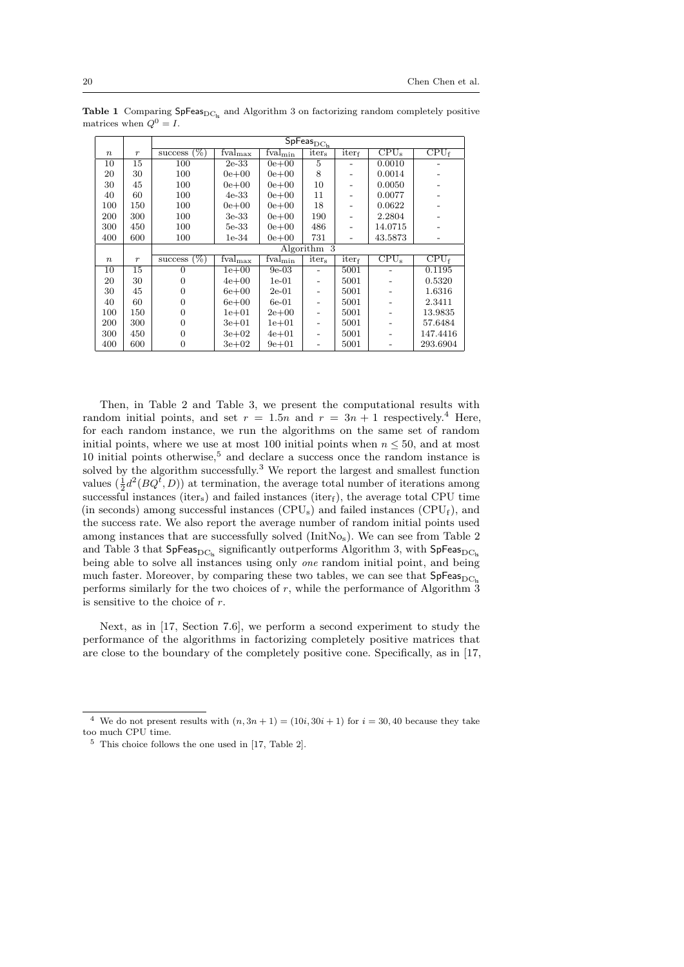|                  |                  | $\mathsf{SpFeas}_{\mathrm{DC}_{\mathrm{ls}}}$ |                                       |               |                   |          |                           |                             |  |
|------------------|------------------|-----------------------------------------------|---------------------------------------|---------------|-------------------|----------|---------------------------|-----------------------------|--|
| $\boldsymbol{n}$ | $\boldsymbol{r}$ | $(\%)$<br>success                             | $\overline{\text{fval}}_{\text{max}}$ | $fval_{\min}$ | iter <sub>s</sub> | $iter_f$ | $\overline{\text{CPU}_s}$ | $\overline{\text{CPU}_{f}}$ |  |
| 10               | 15               | 100                                           | $2e-33$                               | $0e + 00$     | 5                 |          | 0.0010                    |                             |  |
| 20               | 30               | 100                                           | $0e + 00$                             | $0e + 00$     | 8                 |          | 0.0014                    |                             |  |
| 30               | 45               | 100                                           | $0e + 00$                             | $0e + 00$     | 10                |          | 0.0050                    |                             |  |
| 40               | 60               | 100                                           | $4e-33$                               | $0e + 00$     | 11                |          | 0.0077                    |                             |  |
| 100              | 150              | 100                                           | $0e + 00$                             | $0e + 00$     | 18                |          | 0.0622                    |                             |  |
| 200              | 300              | 100                                           | 3e-33                                 | $0e + 00$     | 190               |          | 2.2804                    |                             |  |
| 300              | 450              | 100                                           | 5e-33                                 | $0e + 00$     | 486               |          | 14.0715                   |                             |  |
| 400              | 600              | 100                                           | $1e-34$                               | $0e + 00$     | 731               |          | 43.5873                   |                             |  |
|                  |                  |                                               | Algorithm 3                           |               |                   |          |                           |                             |  |
|                  |                  |                                               |                                       |               |                   |          |                           |                             |  |
| $\,n$            | $\boldsymbol{r}$ | $(\%)$<br>success                             | $\overline{\text{fval}}_{\text{max}}$ | $fval_{\min}$ | iter <sub>s</sub> | $iter_f$ | $CPU_s$                   | CPU <sub>f</sub>            |  |
| 10               | 15               | $\Omega$                                      | $1e+00$                               | $9e-03$       |                   | 5001     |                           | 0.1195                      |  |
| 20               | 30               | $\Omega$                                      | $4e + 00$                             | $1e-01$       |                   | 5001     |                           | 0.5320                      |  |
| 30               | 45               | $\Omega$                                      | $6e+00$                               | $2e-01$       |                   | 5001     |                           | 1.6316                      |  |
| 40               | 60               | $\theta$                                      | $6e+00$                               | $6e-01$       |                   | 5001     |                           | 2.3411                      |  |
| 100              | 150              | $\Omega$                                      | $1e + 01$                             | $2e+00$       |                   | 5001     |                           | 13.9835                     |  |
| 200              | 300              | $\overline{0}$                                | $3e+01$                               | $1e + 01$     |                   | 5001     |                           | 57.6484                     |  |
| 300              | 450              | $\overline{0}$                                | $3e + 02$                             | $4e + 01$     |                   | 5001     |                           | 147.4416                    |  |

Table 1 Comparing  $SpFeas_{DCL}$  and Algorithm 3 on factorizing random completely positive matrices when  $Q^0 = I$ .

Then, in Table 2 and Table 3, we present the computational results with random initial points, and set  $r = 1.5n$  and  $r = 3n + 1$  respectively.<sup>4</sup> Here, for each random instance, we run the algorithms on the same set of random initial points, where we use at most 100 initial points when  $n \leq 50$ , and at most 10 initial points otherwise, $5$  and declare a success once the random instance is solved by the algorithm successfully.<sup>3</sup> We report the largest and smallest function values  $(\frac{1}{2}d^2(BQ^{\dagger}, D))$  at termination, the average total number of iterations among successful instances (iter<sub>s</sub>) and failed instances (iter<sub>f</sub>), the average total CPU time (in seconds) among successful instances  $(CPU_s)$  and failed instances  $(CPU_f)$ , and the success rate. We also report the average number of random initial points used among instances that are successfully solved (InitNos). We can see from Table 2 and Table 3 that  $SpFeas_{DC_k}$  significantly outperforms Algorithm 3, with  $SpFeas_{DC_k}$ being able to solve all instances using only *one* random initial point, and being much faster. Moreover, by comparing these two tables, we can see that  $SpFeas_{DCL}$ performs similarly for the two choices of  $r$ , while the performance of Algorithm  $\overline{3}$ is sensitive to the choice of r.

Next, as in [17, Section 7.6], we perform a second experiment to study the performance of the algorithms in factorizing completely positive matrices that are close to the boundary of the completely positive cone. Specifically, as in [17,

<sup>&</sup>lt;sup>4</sup> We do not present results with  $(n, 3n + 1) = (10i, 30i + 1)$  for  $i = 30, 40$  because they take too much CPU time.

<sup>5</sup> This choice follows the one used in [17, Table 2].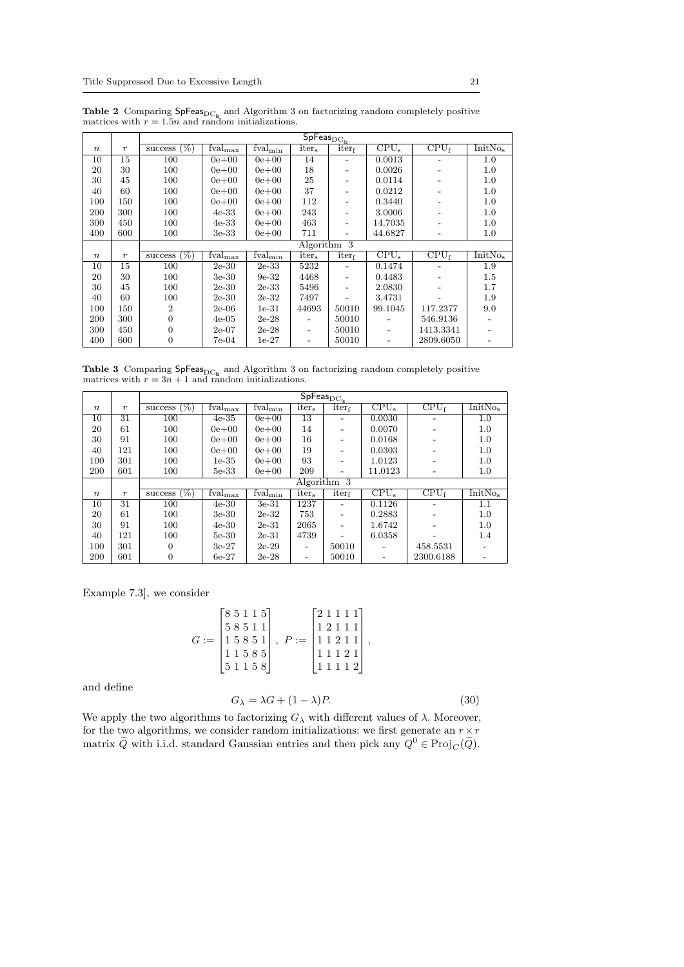|                  |                  | $\overline{\mathsf{SpFeas}}_{\mathrm{D}\underline{\mathrm{C}}_\mathsf{ls}}$ |                                       |                            |                          |          |                           |                             |                |
|------------------|------------------|-----------------------------------------------------------------------------|---------------------------------------|----------------------------|--------------------------|----------|---------------------------|-----------------------------|----------------|
| $\boldsymbol{n}$ | $\boldsymbol{r}$ | $(\%)$<br>success                                                           | $fval_{\text{max}}$                   | fval <sub>min</sub>        | iter <sub>s</sub>        | $iter_f$ | CPU <sub>s</sub>          | $\overline{\text{CPU}_{f}}$ | <b>InitNos</b> |
| 10               | 15               | 100                                                                         | $0e + 00$                             | $0e + 00$                  | 14                       |          | 0.0013                    |                             | 1.0            |
| 20               | 30               | 100                                                                         | $0e + 00$                             | $0e + 00$                  | 18                       |          | 0.0026                    |                             | 1.0            |
| 30               | 45               | 100                                                                         | $0e + 00$                             | $0e + 00$                  | 25                       |          | 0.0114                    |                             | 1.0            |
| 40               | 60               | 100                                                                         | $0e + 00$                             | $0e + 00$                  | 37                       |          | 0.0212                    |                             | 1.0            |
| 100              | 150              | 100                                                                         | $0e + 00$                             | $0e + 00$                  | 112                      |          | 0.3440                    |                             | 1.0            |
| 200              | 300              | 100                                                                         | $4e-33$                               | $0e + 00$                  | 243                      |          | 3.0006                    |                             | 1.0            |
| 300              | 450              | 100                                                                         | $4e-33$                               | $0e + 00$                  | 463                      |          | 14.7035                   |                             | 1.0            |
| 400              | 600              | 100                                                                         | 3e-33                                 | $0e + 00$                  | 711                      | -        | 44.6827                   | $\overline{\phantom{0}}$    | $1.0\,$        |
|                  |                  |                                                                             |                                       |                            | Algorithm 3              |          |                           |                             |                |
| $\boldsymbol{n}$ | $\boldsymbol{r}$ | $(\%)$<br>success                                                           | $\overline{\text{fval}}_{\text{max}}$ | $\text{Fval}_{\text{min}}$ | iter <sub>s</sub>        | iterf    | $\overline{\text{CPU}_s}$ | $\overline{CPU_f}$          | <b>InitNos</b> |
| 10               | 15               | 100                                                                         | $2e-30$                               | $2e-33$                    | 5232                     |          | 0.1474                    |                             | 1.9            |
| 20               | 30               | 100                                                                         | $3e-30$                               | $9e-32$                    | 4468                     |          | 0.4483                    |                             | 1.5            |
| 30               | 45               | 100                                                                         | $2e-30$                               | $2e-33$                    | 5496                     |          | 2.0830                    | $\overline{\phantom{a}}$    | 1.7            |
| 40               | 60               | 100                                                                         | $2e-30$                               | $2e-32$                    | 7497                     |          | 3.4731                    |                             | 1.9            |
| 100              | 150              | $\overline{2}$                                                              | $2e-06$                               | $1e-31$                    | 44693                    | 50010    | 99.1045                   | 117.2377                    | 9.0            |
| 200              | 300              | $\overline{0}$                                                              | $4e-05$                               | $2e-28$                    |                          | 50010    |                           | 546.9136                    |                |
| 300              | 450              | 0                                                                           | $2e-07$                               | $2e-28$                    | $\overline{\phantom{0}}$ | 50010    |                           | 1413.3341                   |                |
| 400              | 600              | 0                                                                           | 7e-04                                 | 1e-27                      | $\overline{a}$           | 50010    |                           | 2809.6050                   |                |

**Table 2** Comparing SpFeas<sub>DCls</sub> and Algorithm 3 on factorizing random completely positive matrices with  $r = 1.5n$  and random initializations.

**Table 3** Comparing SpFeas<sub>DC<sub>ls</sub> and Algorithm 3 on factorizing random completely positive matrices with  $r = 3n + 1$  and random initializations.</sub>

|                  |                  | $\overline{\mathsf{SpFe}}$ as $_{\mathrm{DC}_{\mathsf{ls}}}$ |                                       |               |                          |             |                             |                  |                     |  |
|------------------|------------------|--------------------------------------------------------------|---------------------------------------|---------------|--------------------------|-------------|-----------------------------|------------------|---------------------|--|
| $\boldsymbol{n}$ | $\boldsymbol{r}$ | success $(\%)$                                               | $fval_{\text{max}}$                   | $fval_{\min}$ | iter <sub>s</sub>        | $iter_f$    | $CPU_s$                     | CPU <sub>f</sub> | InitNo <sub>s</sub> |  |
| 10               | 31               | 100                                                          | $4e-35$                               | $0e + 00$     | 13                       |             | 0.0030                      |                  | 1.0                 |  |
| 20               | 61               | 100                                                          | $0e + 00$                             | $0e + 00$     | 14                       |             | 0.0070                      |                  | 1.0                 |  |
| 30               | 91               | 100                                                          | $0e + 00$                             | $0e + 00$     | 16                       |             | 0.0168                      |                  | 1.0                 |  |
| 40               | 121              | 100                                                          | $0e + 00$                             | $0e + 00$     | 19                       |             | 0.0303                      |                  | 1.0                 |  |
| 100              | 301              | 100                                                          | $1e-35$                               | $0e + 00$     | 93                       |             | 1.0123                      |                  | 1.0                 |  |
| 200              | 601              | 100                                                          | 5e-33                                 | $0e + 00$     | 209                      |             | 11.0123                     |                  | 1.0                 |  |
|                  |                  |                                                              |                                       |               |                          | Algorithm 3 |                             |                  |                     |  |
| $\boldsymbol{n}$ | $\boldsymbol{r}$ | success $(\%)$                                               | $\overline{\text{fval}}_{\text{max}}$ | $fval_{\min}$ | iter <sub>s</sub>        | $iter_f$    | $\overline{\text{CPU}}_{s}$ | CPU <sub>f</sub> | InitNo.             |  |
| 10               | 31               | 100                                                          | $4e-30$                               | $3e-31$       | 1237                     |             | 0.1126                      |                  | 1.1                 |  |
| 20               | 61               | 100                                                          | 3e-30                                 | $2e-32$       | 753                      |             | 0.2883                      |                  | 1.0                 |  |
| 30               | 91               | 100                                                          | $4e-30$                               | $2e-31$       | 2065                     |             | 1.6742                      |                  | 1.0                 |  |
| 40               | 121              | 100                                                          | $5e-30$                               | $2e-31$       | 4739                     |             | 6.0358                      |                  | 1.4                 |  |
| 100              | 301              | $\Omega$                                                     | $3e-27$                               | $2e-29$       | $\overline{\phantom{0}}$ | 50010       |                             | 458.5531         |                     |  |
| 200              | 601              | 0                                                            | $6e-27$                               | $2e-28$       | $\overline{\phantom{a}}$ | 50010       |                             | 2300.6188        |                     |  |

Example 7.3], we consider

$$
G := \begin{bmatrix} 8 & 5 & 1 & 1 & 5 \\ 5 & 8 & 5 & 1 & 1 \\ 1 & 5 & 8 & 5 & 1 \\ 1 & 1 & 5 & 8 & 5 \\ 5 & 1 & 1 & 5 & 8 \end{bmatrix}, \ P := \begin{bmatrix} 2 & 1 & 1 & 1 & 1 \\ 1 & 2 & 1 & 1 & 1 \\ 1 & 1 & 2 & 1 & 1 \\ 1 & 1 & 1 & 2 & 1 \\ 1 & 1 & 1 & 1 & 2 \end{bmatrix},
$$

and define

$$
G_{\lambda} = \lambda G + (1 - \lambda)P. \tag{30}
$$

We apply the two algorithms to factorizing  $G_{\lambda}$  with different values of  $\lambda$ . Moreover, for the two algorithms, we consider random initializations: we first generate an  $r \times r$ matrix  $\tilde{Q}$  with i.i.d. standard Gaussian entries and then pick any  $Q^0 \in \text{Proj}_{C}(\tilde{Q})$ .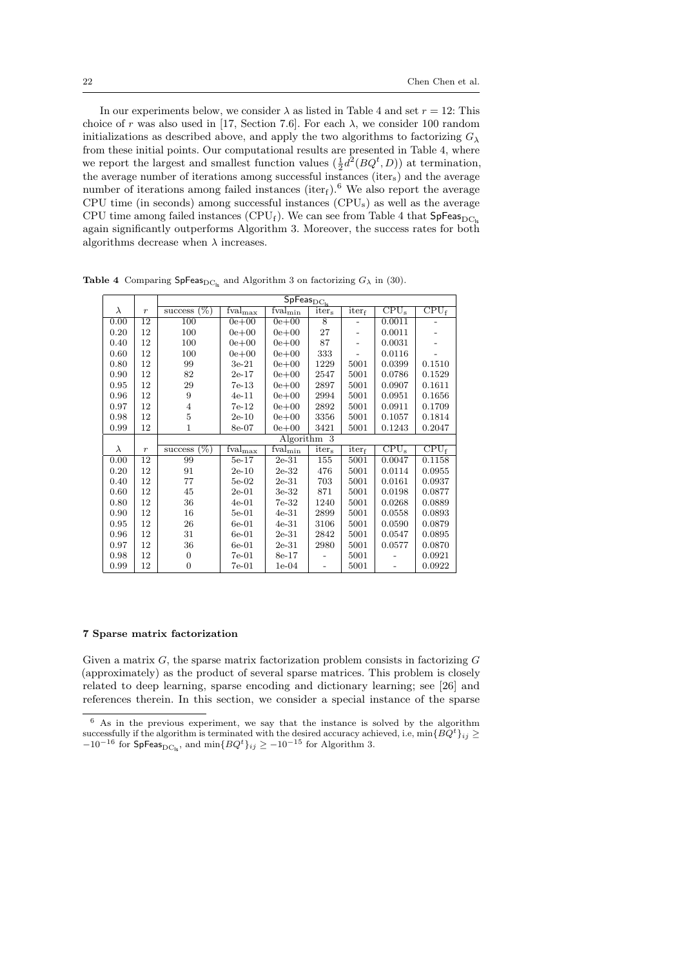In our experiments below, we consider  $\lambda$  as listed in Table 4 and set  $r = 12$ : This choice of r was also used in [17, Section 7.6]. For each  $\lambda$ , we consider 100 random initializations as described above, and apply the two algorithms to factorizing  $G_{\lambda}$ from these initial points. Our computational results are presented in Table 4, where we report the largest and smallest function values  $(\frac{1}{2}d^2(BQ^t, D))$  at termination, the average number of iterations among successful instances (iter<sub>s</sub>) and the average number of iterations among failed instances (iter<sub>f</sub>).<sup>6</sup> We also report the average CPU time (in seconds) among successful instances (CPUs) as well as the average CPU time among failed instances (CPU<sub>f</sub>). We can see from Table 4 that  $SpFeas_{DC}$ again significantly outperforms Algorithm 3. Moreover, the success rates for both algorithms decrease when  $\lambda$  increases.

|           |                  | $\overline{\mathsf{SpFeas}}_{\mathrm{DC}_{\mathrm{ls}}}$ |                                          |                                       |                   |                |                                    |                  |  |  |
|-----------|------------------|----------------------------------------------------------|------------------------------------------|---------------------------------------|-------------------|----------------|------------------------------------|------------------|--|--|
| λ         | $\boldsymbol{r}$ | $(\%)$<br>success                                        | $\overline{\text{f}}$ val <sub>max</sub> | $\overline{\text{fval}}_{\text{min}}$ | iter <sub>s</sub> | iterf          | $\overline{\text{CPU}_s}$          | $CPU_f$          |  |  |
| 0.00      | 12               | 100                                                      | $0e + 00$                                | $0e + 00$                             | 8                 | $\overline{a}$ | 0.0011                             |                  |  |  |
| 0.20      | 12               | 100                                                      | $0e + 00$                                | $0e + 00$                             | 27                |                | 0.0011                             |                  |  |  |
| 0.40      | 12               | 100                                                      | $0e + 00$                                | $0e + 00$                             | 87                |                | 0.0031                             |                  |  |  |
| 0.60      | 12               | 100                                                      | $0e + 00$                                | $0e + 00$                             | 333               |                | 0.0116                             |                  |  |  |
| 0.80      | 12               | 99                                                       | $3e-21$                                  | $0e + 00$                             | 1229              | 5001           | 0.0399                             | 0.1510           |  |  |
| 0.90      | 12               | 82                                                       | $2e-17$                                  | $0e + 00$                             | 2547              | 5001           | 0.0786                             | 0.1529           |  |  |
| 0.95      | 12               | 29                                                       | $7e-13$                                  | $0e + 00$                             | 2897              | 5001           | 0.0907                             | 0.1611           |  |  |
| 0.96      | 12               | 9                                                        | $4e-11$                                  | $0e + 00$                             | 2994              | 5001           | 0.0951                             | 0.1656           |  |  |
| 0.97      | 12               | $\overline{4}$                                           | 7e-12                                    | $0e + 00$                             | 2892              | 5001           | 0.0911                             | 0.1709           |  |  |
| 0.98      | 12               | 5                                                        | $2e-10$                                  | $0e + 00$                             | 3356              | 5001           | 0.1057                             | 0.1814           |  |  |
| 0.99      | 12               | 1                                                        | 8e-07                                    | $0e + 00$                             | 3421              | 5001           | 0.1243                             | 0.2047           |  |  |
|           |                  |                                                          |                                          |                                       | Algorithm 3       |                |                                    |                  |  |  |
|           |                  |                                                          |                                          |                                       |                   |                |                                    |                  |  |  |
| $\lambda$ | $\boldsymbol{r}$ | (%)<br>success                                           | $\text{fval}_{\text{max}}$               | $\overline{\text{fval}_{\min}}$       | iter <sub>s</sub> | $iter_f$       | $\overline{\text{CPU}}_{\text{s}}$ | CPU <sub>f</sub> |  |  |
| 0.00      | 12               | 99                                                       | $5e-17$                                  | $2e-31$                               | 155               | 5001           | 0.0047                             | 0.1158           |  |  |
| 0.20      | 12               | 91                                                       | $2e-10$                                  | $2e-32$                               | 476               | 5001           | 0.0114                             | 0.0955           |  |  |
| 0.40      | 12               | 77                                                       | $5e-02$                                  | $2e-31$                               | 703               | 5001           | 0.0161                             | 0.0937           |  |  |
| 0.60      | 12               | 45                                                       | $2e-01$                                  | $3e-32$                               | 871               | 5001           | 0.0198                             | 0.0877           |  |  |
| 0.80      | 12               | 36                                                       | $4e-01$                                  | $7e-32$                               | 1240              | 5001           | 0.0268                             | 0.0889           |  |  |
| 0.90      | 12               | 16                                                       | $5e-01$                                  | $4e-31$                               | 2899              | 5001           | 0.0558                             | 0.0893           |  |  |
| 0.95      | 12               | 26                                                       | $6e-01$                                  | $4e-31$                               | 3106              | 5001           | 0.0590                             | 0.0879           |  |  |
| 0.96      | 12               | 31                                                       | $6e-01$                                  | $2e-31$                               | 2842              | 5001           | 0.0547                             | 0.0895           |  |  |
| 0.97      | 12               | 36                                                       | $6e-01$                                  | $2e-31$                               | 2980              | 5001           | 0.0577                             | 0.0870           |  |  |
| 0.98      | 12               | 0                                                        | $7e-01$                                  | 8e-17                                 |                   | 5001           |                                    | 0.0921           |  |  |

**Table 4** Comparing  $\mathsf{SpFeas}_{\mathrm{DC}_\mathsf{lc}}$  and Algorithm 3 on factorizing  $G_\lambda$  in (30).

#### 7 Sparse matrix factorization

Given a matrix  $G$ , the sparse matrix factorization problem consists in factorizing  $G$ (approximately) as the product of several sparse matrices. This problem is closely related to deep learning, sparse encoding and dictionary learning; see [26] and references therein. In this section, we consider a special instance of the sparse

<sup>6</sup> As in the previous experiment, we say that the instance is solved by the algorithm successfully if the algorithm is terminated with the desired accuracy achieved, i.e,  $\min\{BQ^t\}_{ij} \ge$  $-10^{-16}$  for SpFeas<sub>DC<sub>ls</sub></sub>, and min{ $BQ<sup>t</sup>$ }<sub>*ij*</sub> ≥ −10<sup>-15</sup> for Algorithm 3.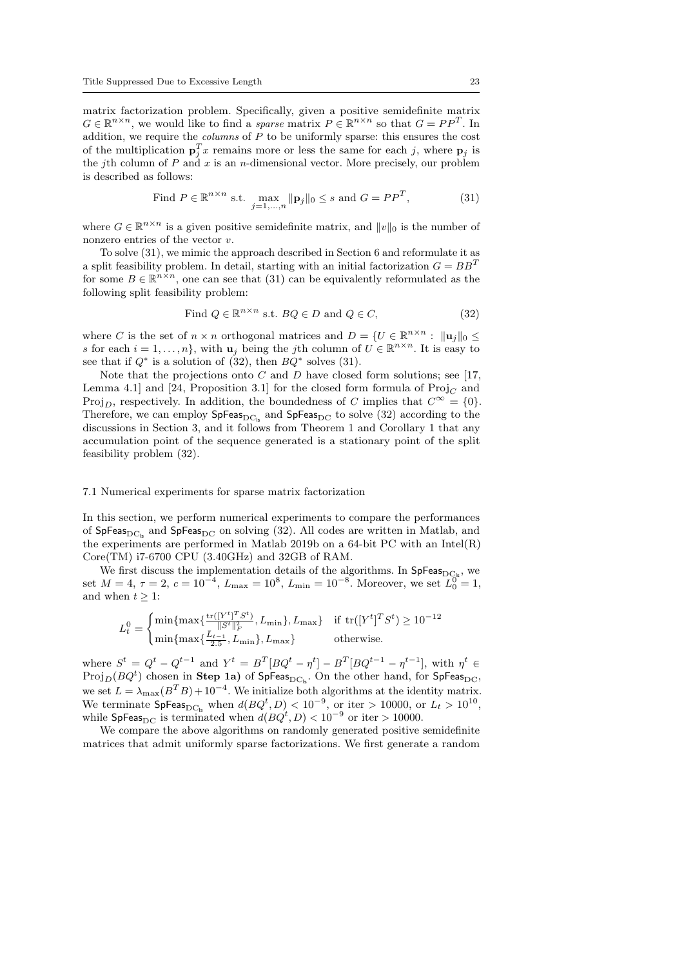matrix factorization problem. Specifically, given a positive semidefinite matrix  $G \in \mathbb{R}^{n \times n}$ , we would like to find a *sparse* matrix  $P \in \mathbb{R}^{n \times n}$  so that  $G = PP^{T}$ . In addition, we require the *columns* of  $P$  to be uniformly sparse: this ensures the cost of the multiplication  $\mathbf{p}_j^T x$  remains more or less the same for each j, where  $\mathbf{p}_j$  is the jth column of  $P$  and  $x$  is an  $n$ -dimensional vector. More precisely, our problem is described as follows:

Find 
$$
P \in \mathbb{R}^{n \times n}
$$
 s.t.  $\max_{j=1,\dots,n} \|\mathbf{p}_j\|_0 \leq s$  and  $G = PP^T$ , 
$$
(31)
$$

where  $G \in \mathbb{R}^{n \times n}$  is a given positive semidefinite matrix, and  $||v||_0$  is the number of nonzero entries of the vector  $v$ .

To solve (31), we mimic the approach described in Section 6 and reformulate it as a split feasibility problem. In detail, starting with an initial factorization  $G = BB^T$ for some  $B \in \mathbb{R}^{n \times n}$ , one can see that (31) can be equivalently reformulated as the following split feasibility problem:

Find 
$$
Q \in \mathbb{R}^{n \times n}
$$
 s.t.  $BQ \in D$  and  $Q \in C$ , 
$$
(32)
$$

where C is the set of  $n \times n$  orthogonal matrices and  $D = \{U \in \mathbb{R}^{n \times n} : ||\mathbf{u}_j||_0 \leq$ s for each  $i = 1, ..., n$ , with  $u_j$  being the jth column of  $U \in \mathbb{R}^{n \times n}$ . It is easy to see that if  $Q^*$  is a solution of (32), then  $BQ^*$  solves (31).

Note that the projections onto  $C$  and  $D$  have closed form solutions; see [17, Lemma 4.1] and [24, Proposition 3.1] for the closed form formula of  $\text{Proj}_{C}$  and Proj<sub>D</sub>, respectively. In addition, the boundedness of C implies that  $C^{\infty} = \{0\}$ . Therefore, we can employ  $SpFeas_{DC_k}$  and  $SpFeas_{DC}$  to solve (32) according to the discussions in Section 3, and it follows from Theorem 1 and Corollary 1 that any accumulation point of the sequence generated is a stationary point of the split feasibility problem (32).

#### 7.1 Numerical experiments for sparse matrix factorization

In this section, we perform numerical experiments to compare the performances of SpFeas<sub>DC</sub>, and SpFeas<sub>DC</sub> on solving (32). All codes are written in Matlab, and the experiments are performed in Matlab 2019b on a 64-bit PC with an Intel(R) Core(TM) i7-6700 CPU (3.40GHz) and 32GB of RAM.

We first discuss the implementation details of the algorithms. In  $SpFeas_{DC_k}$ , we set  $M = 4$ ,  $\tau = 2$ ,  $c = 10^{-4}$ ,  $L_{\text{max}} = 10^{8}$ ,  $L_{\text{min}} = 10^{-8}$ . Moreover, we set  $\overline{L_0^0} = 1$ , and when  $t > 1$ :

$$
L_t^0 = \begin{cases} \min\{\max\{\frac{\text{tr}([Y^t]^T S^t)}{\|S^t\|_F^2}, L_{\min}\}, L_{\max}\} & \text{if } \text{tr}([Y^t]^T S^t) \ge 10^{-12} \\ \min\{\max\{\frac{\bar{L}_{t-1}}{2.5}, L_{\min}\}, L_{\max}\} & \text{otherwise.} \end{cases}
$$

where  $S^t = Q^t - Q^{t-1}$  and  $Y^t = B^T [BQ^t - \eta^t] - B^T [BQ^{t-1} - \eta^{t-1}]$ , with  $\eta^t \in$  $\mathrm{Proj}_D(BQ^t)$  chosen in  $\mathbf{Step\; 1a})$  of  $\mathsf{SpFeas}_{\mathrm{DC}_\mathrm{ls}}.$  On the other hand, for  $\mathsf{SpFeas}_{\mathrm{DC}},$ we set  $L = \lambda_{\text{max}}(B^T B) + 10^{-4}$ . We initialize both algorithms at the identity matrix. We terminate  $\text{SpFeas}_{\text{DC}_\text{ls}}$  when  $d(BQ^t, D) < 10^{-9}$ , or iter > 10000, or  $L_t > 10^{10}$ , while SpFeas<sub>DC</sub> is terminated when  $d(BQ^t, D) < 10^{-9}$  or iter > 10000.

We compare the above algorithms on randomly generated positive semidefinite matrices that admit uniformly sparse factorizations. We first generate a random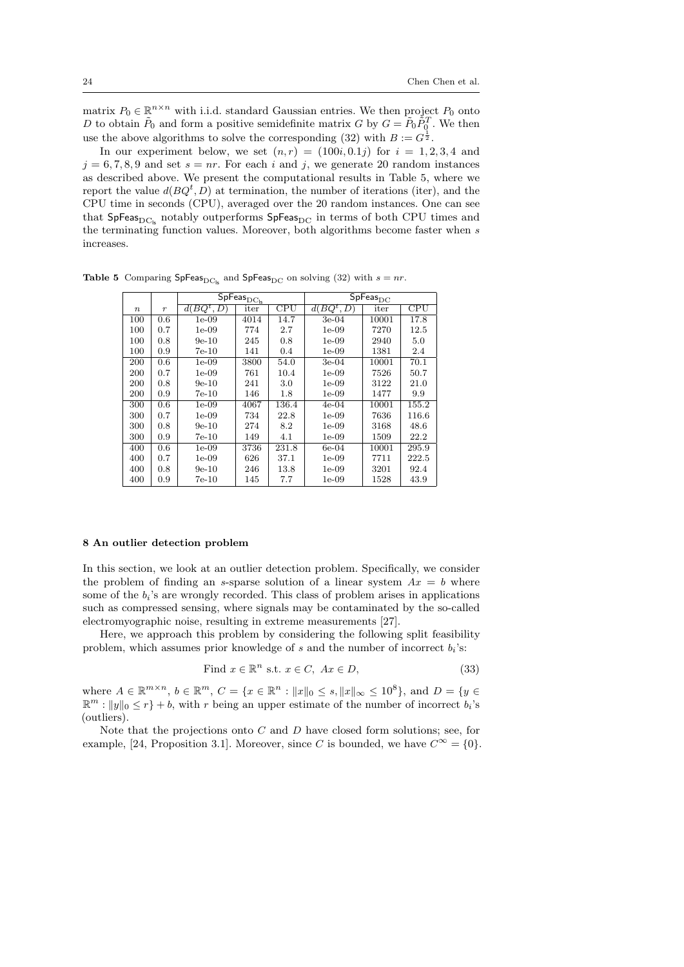matrix  $P_0 \in \mathbb{R}^{n \times n}$  with i.i.d. standard Gaussian entries. We then project  $P_0$  onto D to obtain  $\tilde{P}_0$  and form a positive semidefinite matrix G by  $G = \tilde{P}_0 \tilde{P}_0^T$ . We then use the above algorithms to solve the corresponding (32) with  $B := G^{\frac{1}{2}}$ .

In our experiment below, we set  $(n, r) = (100i, 0.1j)$  for  $i = 1, 2, 3, 4$  and  $j = 6, 7, 8, 9$  and set  $s = nr$ . For each i and j, we generate 20 random instances as described above. We present the computational results in Table 5, where we report the value  $d(BQ^t, D)$  at termination, the number of iterations (iter), and the CPU time in seconds (CPU), averaged over the 20 random instances. One can see that  $SpFeas_{DC_k}$  notably outperforms  $SpFeas_{DC}$  in terms of both CPU times and the terminating function values. Moreover, both algorithms become faster when  $s$ increases.

|                  |                  | $\overline{\mathsf{SpF}}$ eas $_{\mathrm{DC}_{\underline{\mathsf{ls}}}}$ |      |         | $\overline{\mathsf{SpFeas}}_{\mathrm{DC}}$ |       |          |
|------------------|------------------|--------------------------------------------------------------------------|------|---------|--------------------------------------------|-------|----------|
| $\boldsymbol{n}$ | $\boldsymbol{r}$ | $\overline{d}(BQ^t, D)$                                                  | iter | CPU     | $BQ^t, D$<br>d(                            | iter  | CPU      |
| 100              | 0.6              | $1e-09$                                                                  | 4014 | 14.7    | $3e-04$                                    | 10001 | 17.8     |
| 100              | 0.7              | $1e-09$                                                                  | 774  | 2.7     | 1e-09                                      | 7270  | 12.5     |
| 100              | 0.8              | $9e-10$                                                                  | 245  | 0.8     | 1e-09                                      | 2940  | 5.0      |
| 100              | 0.9              | 7e-10                                                                    | 141  | 0.4     | 1e-09                                      | 1381  | 2.4      |
| 200              | 0.6              | $1e-09$                                                                  | 3800 | 54.0    | $3e-04$                                    | 10001 | 70.1     |
| 200              | 0.7              | $1e-09$                                                                  | 761  | 10.4    | 1e-09                                      | 7526  | 50.7     |
| 200              | 0.8              | $9e-10$                                                                  | 241  | 3.0     | $1e-09$                                    | 3122  | $21.0\,$ |
| 200              | 0.9              | 7e-10                                                                    | 146  | $1.8\,$ | $1e-09$                                    | 1477  | 9.9      |
| 300              | 0.6              | $1e-09$                                                                  | 4067 | 136.4   | $4e-04$                                    | 10001 | 155.2    |
| 300              | 0.7              | $1e-09$                                                                  | 734  | 22.8    | $1e-09$                                    | 7636  | 116.6    |
| 300              | 0.8              | $9e-10$                                                                  | 274  | 8.2     | $1e-09$                                    | 3168  | 48.6     |
| 300              | 0.9              | 7e-10                                                                    | 149  | 4.1     | $1e-09$                                    | 1509  | 22.2     |
| 400              | 0.6              | $1e-09$                                                                  | 3736 | 231.8   | $6e-04$                                    | 10001 | 295.9    |
| 400              | 0.7              | $1e-09$                                                                  | 626  | 37.1    | $1e-09$                                    | 7711  | 222.5    |
| 400              | 0.8              | $9e-10$                                                                  | 246  | 13.8    | $1e-09$                                    | 3201  | 92.4     |
| 400              | 0.9              | 7e-10                                                                    | 145  | 7.7     | 1e-09                                      | 1528  | 43.9     |

Table 5 Comparing SpFeas<sub>DCls</sub> and SpFeas<sub>DC</sub> on solving (32) with  $s = nr$ .

#### 8 An outlier detection problem

In this section, we look at an outlier detection problem. Specifically, we consider the problem of finding an s-sparse solution of a linear system  $Ax = b$  where some of the  $b_i$ 's are wrongly recorded. This class of problem arises in applications such as compressed sensing, where signals may be contaminated by the so-called electromyographic noise, resulting in extreme measurements [27].

Here, we approach this problem by considering the following split feasibility problem, which assumes prior knowledge of  $s$  and the number of incorrect  $b_i$ 's:

Find 
$$
x \in \mathbb{R}^n
$$
 s.t.  $x \in C$ ,  $Ax \in D$ ,  $(33)$ 

where  $A \in \mathbb{R}^{m \times n}$ ,  $b \in \mathbb{R}^m$ ,  $C = \{x \in \mathbb{R}^n : ||x||_0 \le s, ||x||_{\infty} \le 10^8 \}$ , and  $D = \{y \in$  $\mathbb{R}^m: ||y||_0 \leq r$  + b, with r being an upper estimate of the number of incorrect  $b_i$ 's (outliers).

Note that the projections onto  $C$  and  $D$  have closed form solutions; see, for example, [24, Proposition 3.1]. Moreover, since C is bounded, we have  $C^{\infty} = \{0\}$ .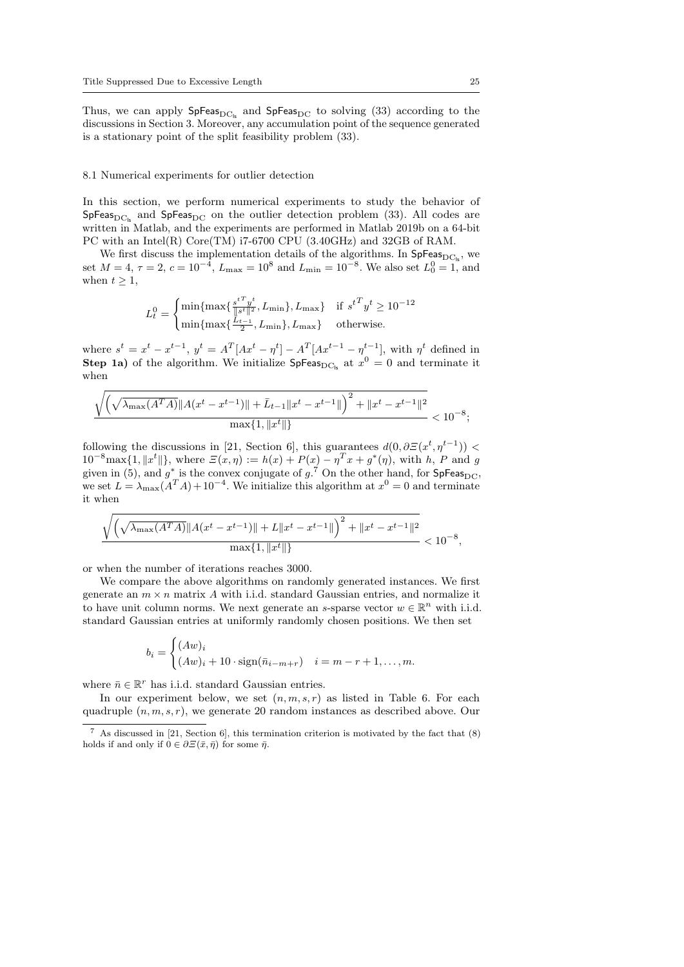Thus, we can apply  $SpFeas_{DC_k}$  and  $SpFeas_{DC}$  to solving (33) according to the discussions in Section 3. Moreover, any accumulation point of the sequence generated is a stationary point of the split feasibility problem (33).

#### 8.1 Numerical experiments for outlier detection

In this section, we perform numerical experiments to study the behavior of  $SpFeas_{DC_{ls}}$  and  $SpFeas_{DC}$  on the outlier detection problem (33). All codes are written in Matlab, and the experiments are performed in Matlab 2019b on a 64-bit PC with an Intel(R) Core(TM) i7-6700 CPU (3.40GHz) and 32GB of RAM.

We first discuss the implementation details of the algorithms. In  $SpFeas_{DC_{\alpha}}$ , we set  $M = 4$ ,  $\tau = 2$ ,  $c = 10^{-4}$ ,  $L_{\text{max}} = 10^8$  and  $L_{\text{min}} = 10^{-8}$ . We also set  $L_0^0 = 1$ , and when  $t \geq 1$ ,

$$
L_t^0 = \begin{cases} \min\{\max\{\frac{s^{t\,T}y^t}{\|s^t\|^2}, L_{\min}\}, L_{\max}\} & \text{if } s^{t\,T}y^t \ge 10^{-12} \\ \min\{\max\{\frac{L_{t-1}}{2}, L_{\min}\}, L_{\max}\} & \text{otherwise.} \end{cases}
$$

where  $s^t = x^t - x^{t-1}$ ,  $y^t = A^T [Ax^t - \eta^t] - A^T [Ax^{t-1} - \eta^{t-1}]$ , with  $\eta^t$  defined in **Step 1a)** of the algorithm. We initialize  $\text{SpFeas}_{DC_{ls}}$  at  $x^0 = 0$  and terminate it when

$$
\frac{\sqrt{\left(\sqrt{\lambda_{\max}(A^T A)}\|A(x^t - x^{t-1})\| + \bar{L}_{t-1}\|x^t - x^{t-1}\|\right)^2 + \|x^t - x^{t-1}\|^2}}{\max\{1, \|x^t\|\}} < 10^{-8};
$$

following the discussions in [21, Section 6], this guarantees  $d(0, \partial \mathcal{Z}(x^t, \eta^{t-1}))$  <  $10^{-8} \text{max}\{1, \|x^t\|\},\$  where  $\mathcal{E}(x,\eta) := h(x) + P(x) - \eta^T x + g^*(\eta),\$  with h, P and g given in (5), and  $g^*$  is the convex conjugate of  $g^{\tilde{7}}$  On the other hand, for SpFeas<sub>DC</sub>, we set  $L = \lambda_{\text{max}}(A^T A) + 10^{-4}$ . We initialize this algorithm at  $x^0 = 0$  and terminate it when

$$
\frac{\sqrt{\left(\sqrt{\lambda_{\max}(A^T A)}\|A(x^t - x^{t-1})\| + L\|x^t - x^{t-1}\|\right)^2 + \|x^t - x^{t-1}\|^2}}{\max\{1, \|x^t\|\}} < 10^{-8},
$$

or when the number of iterations reaches 3000.

We compare the above algorithms on randomly generated instances. We first generate an  $m \times n$  matrix A with i.i.d. standard Gaussian entries, and normalize it to have unit column norms. We next generate an s-sparse vector  $w \in \mathbb{R}^n$  with i.i.d. standard Gaussian entries at uniformly randomly chosen positions. We then set

$$
b_i = \begin{cases} (Aw)_i \\ (Aw)_i + 10 \cdot \text{sign}(\bar{n}_{i-m+r}) & i = m-r+1, \dots, m. \end{cases}
$$

where  $\bar{n} \in \mathbb{R}^r$  has i.i.d. standard Gaussian entries.

In our experiment below, we set  $(n, m, s, r)$  as listed in Table 6. For each quadruple  $(n, m, s, r)$ , we generate 20 random instances as described above. Our

<sup>7</sup> As discussed in [21, Section 6], this termination criterion is motivated by the fact that (8) holds if and only if  $0 \in \partial \Xi(\bar{x}, \bar{\eta})$  for some  $\bar{\eta}$ .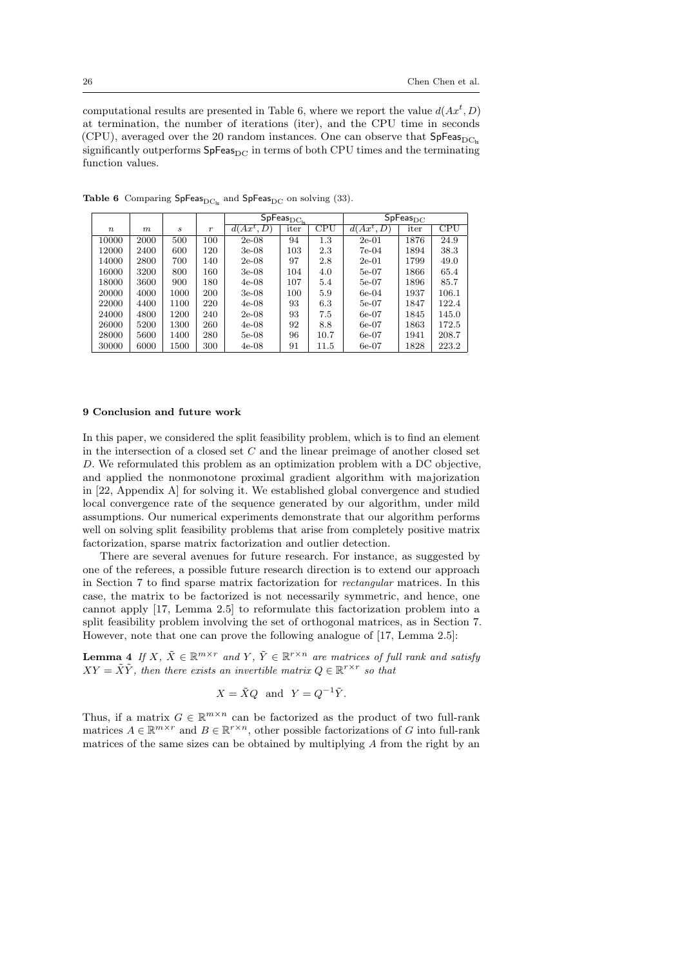computational results are presented in Table 6, where we report the value  $d(Ax^t, D)$ at termination, the number of iterations (iter), and the CPU time in seconds (CPU), averaged over the 20 random instances. One can observe that  $SpFeas_{DCL}$ significantly outperforms  $SpFeas_{DC}$  in terms of both CPU times and the terminating function values.

|             |      |      |                  | $\overline{\mathsf{SpFeas}}_{\mathrm{DC}_{\mathrm{ls}}}$ |      |      |              | $SpFeas_{DC}$ |       |
|-------------|------|------|------------------|----------------------------------------------------------|------|------|--------------|---------------|-------|
| $n_{\rm c}$ | m    | S    | $\boldsymbol{r}$ | $d(Ax^t, D)$                                             | iter | CPU  | $d(Ax^t, D)$ | iter          | CPU   |
| 10000       | 2000 | 500  | 100              | $2e-08$                                                  | 94   | 1.3  | $2e-01$      | 1876          | 24.9  |
| 12000       | 2400 | 600  | 120              | $3e-08$                                                  | 103  | 2.3  | 7e-04        | 1894          | 38.3  |
| 14000       | 2800 | 700  | 140              | $2e-08$                                                  | 97   | 2.8  | $2e-01$      | 1799          | 49.0  |
| 16000       | 3200 | 800  | 160              | $3e-08$                                                  | 104  | 4.0  | $5e-07$      | 1866          | 65.4  |
| 18000       | 3600 | 900  | 180              | $4e-08$                                                  | 107  | 5.4  | $5e-07$      | 1896          | 85.7  |
| 20000       | 4000 | 1000 | 200              | $3e-08$                                                  | 100  | 5.9  | $6e-04$      | 1937          | 106.1 |
| 22000       | 4400 | 1100 | 220              | $4e-08$                                                  | 93   | 6.3  | $5e-07$      | 1847          | 122.4 |
| 24000       | 4800 | 1200 | 240              | $2e-08$                                                  | 93   | 7.5  | $6e-07$      | 1845          | 145.0 |
| 26000       | 5200 | 1300 | 260              | $4e-08$                                                  | 92   | 8.8  | $6e-07$      | 1863          | 172.5 |
| 28000       | 5600 | 1400 | 280              | $5e-08$                                                  | 96   | 10.7 | $6e-07$      | 1941          | 208.7 |
| 30000       | 6000 | 1500 | 300              | $4e-08$                                                  | 91   | 11.5 | $6e-07$      | 1828          | 223.2 |

Table 6 Comparing  $SpFeas_{DC}$  and  $SpFeas_{DC}$  on solving (33).

#### 9 Conclusion and future work

In this paper, we considered the split feasibility problem, which is to find an element in the intersection of a closed set  $C$  and the linear preimage of another closed set D. We reformulated this problem as an optimization problem with a DC objective, and applied the nonmonotone proximal gradient algorithm with majorization in [22, Appendix A] for solving it. We established global convergence and studied local convergence rate of the sequence generated by our algorithm, under mild assumptions. Our numerical experiments demonstrate that our algorithm performs well on solving split feasibility problems that arise from completely positive matrix factorization, sparse matrix factorization and outlier detection.

There are several avenues for future research. For instance, as suggested by one of the referees, a possible future research direction is to extend our approach in Section 7 to find sparse matrix factorization for rectangular matrices. In this case, the matrix to be factorized is not necessarily symmetric, and hence, one cannot apply [17, Lemma 2.5] to reformulate this factorization problem into a split feasibility problem involving the set of orthogonal matrices, as in Section 7. However, note that one can prove the following analogue of [17, Lemma 2.5]:

**Lemma 4** If X,  $\tilde{X} \in \mathbb{R}^{m \times r}$  and Y,  $\tilde{Y} \in \mathbb{R}^{r \times n}$  are matrices of full rank and satisfy  $XY = \tilde{X}\tilde{Y}$ , then there exists an invertible matrix  $Q \in \mathbb{R}^{r \times r}$  so that

$$
X = \tilde{X}Q \text{ and } Y = Q^{-1}\tilde{Y}.
$$

Thus, if a matrix  $G \in \mathbb{R}^{m \times n}$  can be factorized as the product of two full-rank matrices  $A \in \mathbb{R}^{m \times r}$  and  $B \in \mathbb{R}^{r \times n}$ , other possible factorizations of G into full-rank matrices of the same sizes can be obtained by multiplying A from the right by an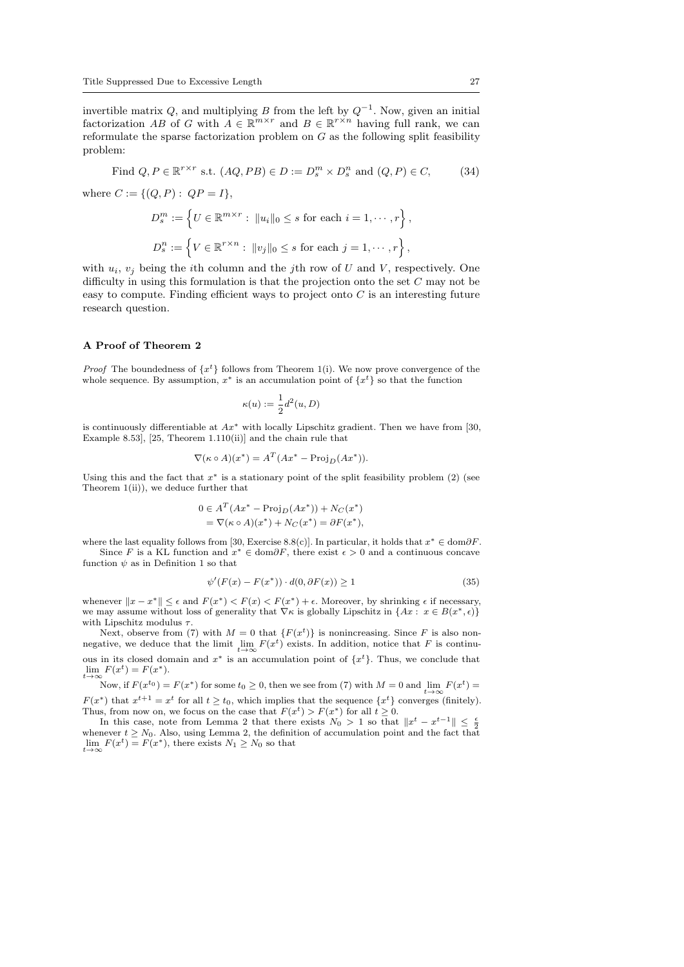invertible matrix Q, and multiplying B from the left by  $Q^{-1}$ . Now, given an initial factorization AB of G with  $A \in \mathbb{R}^{m \times r}$  and  $B \in \mathbb{R}^{r \times n}$  having full rank, we can reformulate the sparse factorization problem on  $G$  as the following split feasibility problem:

Find 
$$
Q, P \in \mathbb{R}^{r \times r}
$$
 s.t.  $(AQ, PB) \in D := D_s^m \times D_s^n$  and  $(Q, P) \in C$ ,  $(34)$ 

where  $C := \{ (Q, P) : QP = I \},\$ 

$$
D_s^m := \left\{ U \in \mathbb{R}^{m \times r} : ||u_i||_0 \le s \text{ for each } i = 1, \dots, r \right\},
$$
  

$$
D_s^n := \left\{ V \in \mathbb{R}^{r \times n} : ||v_j||_0 \le s \text{ for each } j = 1, \dots, r \right\},
$$

with  $u_i, v_j$  being the *i*th column and the *j*th row of U and V, respectively. One difficulty in using this formulation is that the projection onto the set C may not be easy to compute. Finding efficient ways to project onto  $C$  is an interesting future research question.

#### A Proof of Theorem 2

*Proof* The boundedness of  $\{x^t\}$  follows from Theorem 1(i). We now prove convergence of the whole sequence. By assumption,  $x^*$  is an accumulation point of  $\{x^t\}$  so that the function

$$
\kappa(u):=\frac{1}{2}d^2(u,D)
$$

is continuously differentiable at  $Ax^*$  with locally Lipschitz gradient. Then we have from [30, Example 8.53], [25, Theorem 1.110(ii)] and the chain rule that

$$
\nabla(\kappa \circ A)(x^*) = A^T(Ax^* - \text{Proj}_D(Ax^*)).
$$

Using this and the fact that  $x^*$  is a stationary point of the split feasibility problem (2) (see Theorem 1(ii)), we deduce further that

$$
0 \in AT(Ax* - ProjD(Ax*)) + NC(x*)
$$
  
=  $\nabla(\kappa \circ A)(x^*) + NC(x^*) = \partial F(x^*),$ 

where the last equality follows from [30, Exercise 8.8(c)]. In particular, it holds that  $x^* \in \text{dom}\partial F$ . Since F is a KL function and  $x^* \in \text{dom}\partial F$ , there exist  $\epsilon > 0$  and a continuous concave function  $\psi$  as in Definition 1 so that

$$
\psi'(F(x) - F(x^*)) \cdot d(0, \partial F(x)) \ge 1 \tag{35}
$$

whenever  $||x - x^*|| \le \epsilon$  and  $F(x^*) < F(x) < F(x^*) + \epsilon$ . Moreover, by shrinking  $\epsilon$  if necessary, we may assume without loss of generality that  $\nabla \kappa$  is globally Lipschitz in  $\{Ax : x \in B(x^*, \epsilon)\}\$ with Lipschitz modulus  $\tau$ .

Next, observe from (7) with  $M = 0$  that  $\{F(x^t)\}\$ is nonincreasing. Since F is also nonnegative, we deduce that the limit  $\lim_{t\to\infty} F(x^t)$  exists. In addition, notice that F is continuous in its closed domain and  $x^*$  is an accumulation point of  $\{x^t\}$ . Thus, we conclude that  $\lim_{t \to \infty} F(x^t) = F(x^*).$ 

Now, if  $F(x^{t_0}) = F(x^*)$  for some  $t_0 \ge 0$ , then we see from (7) with  $M = 0$  and  $\lim_{t \to \infty} F(x^t) =$  $F(x^*)$  that  $x^{t+1} = x^t$  for all  $t \ge t_0$ , which implies that the sequence  $\{x^t\}$  converges (finitely). Thus, from now on, we focus on the case that  $F(x^t) > F(x^*)$  for all  $t \geq 0$ .

In this case, note from Lemma 2 that there exists  $N_0 > 1$  so that  $||x^t - x^{t-1}|| \leq \frac{\epsilon}{2}$ whenever  $t \geq N_0$ . Also, using Lemma 2, the definition of accumulation point and the fact that  $\lim_{t\to\infty} F(x^t) = F(x^*)$ , there exists  $N_1 \ge N_0$  so that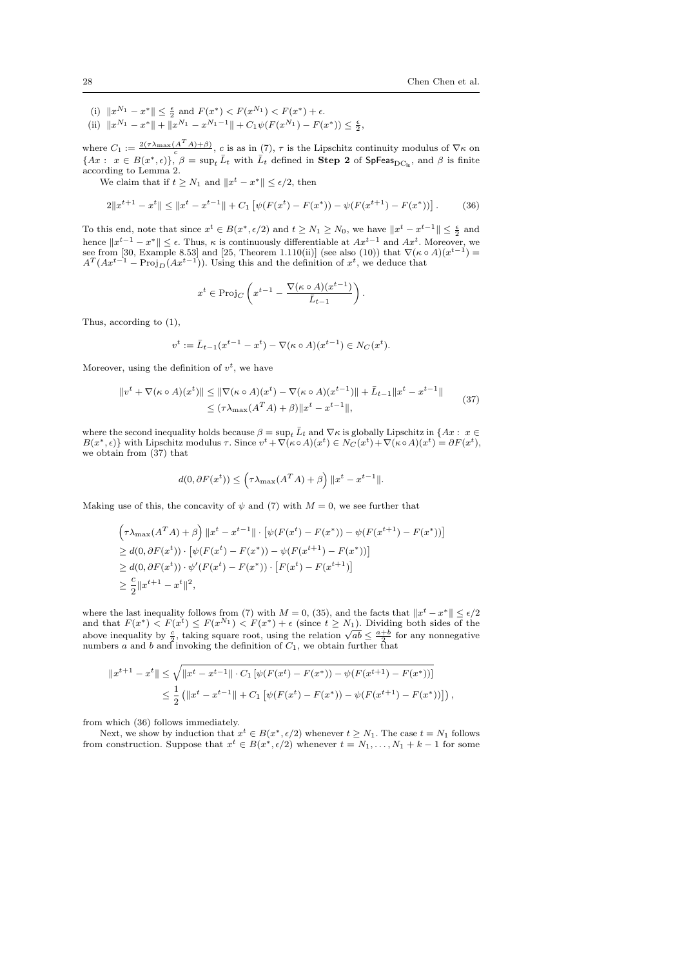- (i)  $||x^{N_1} x^*|| \leq \frac{\epsilon}{2}$  and  $F(x^*) < F(x^{N_1}) < F(x^*) + \epsilon$ .
- (ii)  $||x^{N_1} x^*|| + ||x^{N_1} x^{N_1-1}|| + C_1 \psi(F(x^{N_1}) F(x^*)) \le \frac{\epsilon}{2},$

where  $C_1 := \frac{2(\tau \lambda_{\max}(A^T A)+\beta)}{c}$ , c is as in (7),  $\tau$  is the Lipschitz continuity modulus of  $\nabla \kappa$  on where  $C_1$  :  $\overline{C}$  is as  $C_1$ ,  $\overline{C}$  is as  $C_2$  is the Explorection of  $\{Ax : x \in B(x^*, \epsilon)\}, \beta = \sup_t \overline{L}_t$  with  $\overline{L}_t$  defined in **Step 2** of SpFeas<sub>DC<sub>ls</sub>, and  $\beta$  is finite according to Lemma 2.</sub>

We claim that if  $t \geq N_1$  and  $||x^t - x^*|| \leq \epsilon/2$ , then

$$
2\|x^{t+1} - x^t\| \le \|x^t - x^{t-1}\| + C_1 \left[ \psi(F(x^t) - F(x^*)) - \psi(F(x^{t+1}) - F(x^*)) \right]. \tag{36}
$$

To this end, note that since  $x^t \in B(x^*, \epsilon/2)$  and  $t \geq N_1 \geq N_0$ , we have  $||x^t - x^{t-1}|| \leq \frac{\epsilon}{2}$  and hence  $||x^{t-1} - x^*|| \leq \epsilon$ . Thus,  $\kappa$  is continuously differentiable at  $Ax^{t-1}$  and  $Ax^t$ . Moreover, we see from [30, Example 8.53] and [25, Theorem 1.110(ii)] (see also (10)) that  $\nabla(\kappa \circ A)(x^{t-1}) = A^T(Ax^{t-1} - \text{Proj}_D(Ax^{t-1}))$ . Using this and the definition of  $x^t$ , we deduce that

$$
x^t \in \mathrm{Proj}_C\left(x^{t-1} - \frac{\nabla (\kappa \circ A)(x^{t-1})}{\bar{L}_{t-1}}\right)
$$

Thus, according to (1),

$$
v^{t} := \bar{L}_{t-1}(x^{t-1} - x^{t}) - \nabla(\kappa \circ A)(x^{t-1}) \in N_{C}(x^{t}).
$$

Moreover, using the definition of  $v^t$ , we have

$$
||v^t + \nabla(\kappa \circ A)(x^t)|| \le ||\nabla(\kappa \circ A)(x^t) - \nabla(\kappa \circ A)(x^{t-1})|| + \bar{L}_{t-1}||x^t - x^{t-1}||
$$
  
 
$$
\le (\tau \lambda_{\max}(A^T A) + \beta) ||x^t - x^{t-1}||,
$$
 (37)

.

where the second inequality holds because  $\beta = \sup_t \overline{L}_t$  and  $\nabla \kappa$  is globally Lipschitz in  $\{Ax : x \in$  $B(x^*, \epsilon)$ } with Lipschitz modulus  $\tau$ . Since  $v^t + \nabla(\kappa \circ A)(x^t) \in N_C(x^t) + \nabla(\kappa \circ A)(x^t) = \partial F(x^t)$ , we obtain from (37) that

$$
d(0, \partial F(x^t)) \le \left(\tau \lambda_{\max}(A^T A) + \beta\right) ||x^t - x^{t-1}||.
$$

Making use of this, the concavity of  $\psi$  and (7) with  $M = 0$ , we see further that

$$
\begin{aligned} &\left(\tau\lambda_{\max}(A^T A)+\beta\right)\|x^t-x^{t-1}\|\cdot\left[\psi(F(x^t)-F(x^*))-\psi(F(x^{t+1})-F(x^*))\right] \\ &\geq d(0,\partial F(x^t))\cdot\left[\psi(F(x^t)-F(x^*))-\psi(F(x^{t+1})-F(x^*))\right] \\ &\geq d(0,\partial F(x^t))\cdot\psi'(F(x^t)-F(x^*))\cdot\left[F(x^t)-F(x^{t+1})\right] \\ &\geq \frac{c}{2}\|x^{t+1}-x^t\|^2, \end{aligned}
$$

where the last inequality follows from (7) with  $M = 0$ , (35), and the facts that  $||x^t - x^*|| \le \epsilon/2$ and that  $F(x^*) < F(x^t) \leq F(x^{N_1}) < F(x^*) + \epsilon$  (since  $t \geq N_1$ ). Dividing both sides of the above inequality by  $\frac{2}{2}$ , taking square root, using the relation  $\sqrt{ab} \leq \frac{a+b}{2}$  for any nonnegative above inequality by  $\frac{2}{2}$ , taking square root, using the relation  $\sqrt{ab} \leq \frac{a+b}{2}$ numbers a and b and invoking the definition of  $C_1$ , we obtain further that

$$
||x^{t+1} - x^t|| \le \sqrt{||x^t - x^{t-1}|| \cdot C_1 [\psi(F(x^t) - F(x^*)) - \psi(F(x^{t+1}) - F(x^*))]}
$$
  

$$
\le \frac{1}{2} (||x^t - x^{t-1}|| + C_1 [\psi(F(x^t) - F(x^*)) - \psi(F(x^{t+1}) - F(x^*))]),
$$

from which (36) follows immediately.

Next, we show by induction that  $x^t \in B(x^*, \epsilon/2)$  whenever  $t \geq N_1$ . The case  $t = N_1$  follows from construction. Suppose that  $x^t \in B(x^*, \epsilon/2)$  whenever  $t = N_1, \ldots, N_1 + k - 1$  for some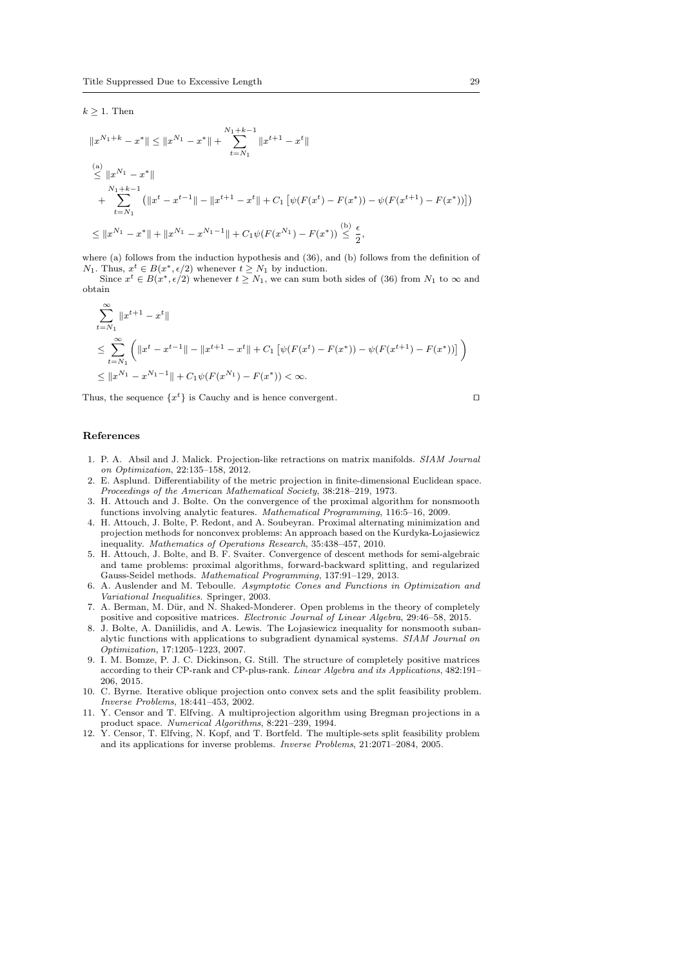$k \geq 1$ . Then

$$
||x^{N_1+k} - x^*|| \le ||x^{N_1} - x^*|| + \sum_{t=N_1}^{N_1+k-1} ||x^{t+1} - x^t||
$$
  
\n
$$
\le ||x^{N_1} - x^*||
$$
  
\n
$$
+ \sum_{t=N_1}^{N_1+k-1} (||x^t - x^{t-1}|| - ||x^{t+1} - x^t|| + C_1 [\psi(F(x^t) - F(x^*)) - \psi(F(x^{t+1}) - F(x^*))])
$$
  
\n
$$
\le ||x^{N_1} - x^*|| + ||x^{N_1} - x^{N_1-1}|| + C_1 \psi(F(x^{N_1}) - F(x^*)) \le \frac{\epsilon}{2},
$$

where (a) follows from the induction hypothesis and (36), and (b) follows from the definition of  $N_1$ . Thus,  $x^t \in B(x^*, \epsilon/2)$  whenever  $t \geq N_1$  by induction.

Since  $x^t \in B(x^*, \epsilon/2)$  whenever  $t \geq N_1$ , we can sum both sides of (36) from  $N_1$  to  $\infty$  and obtain

$$
\sum_{t=N_1}^{\infty} \|x^{t+1} - x^t\|
$$
\n
$$
\leq \sum_{t=N_1}^{\infty} \left( \|x^t - x^{t-1}\| - \|x^{t+1} - x^t\| + C_1 \left[ \psi(F(x^t) - F(x^*)) - \psi(F(x^{t+1}) - F(x^*)) \right] \right)
$$
\n
$$
\leq \|x^{N_1} - x^{N_1 - 1}\| + C_1 \psi(F(x^{N_1}) - F(x^*)) < \infty.
$$

Thus, the sequence  $\{x^t\}$  is Cauchy and is hence convergent.

# References

- 1. P. A. Absil and J. Malick. Projection-like retractions on matrix manifolds. SIAM Journal on Optimization, 22:135–158, 2012.
- 2. E. Asplund. Differentiability of the metric projection in finite-dimensional Euclidean space. Proceedings of the American Mathematical Society, 38:218–219, 1973.
- 3. H. Attouch and J. Bolte. On the convergence of the proximal algorithm for nonsmooth functions involving analytic features. Mathematical Programming, 116:5–16, 2009.
- 4. H. Attouch, J. Bolte, P. Redont, and A. Soubeyran. Proximal alternating minimization and projection methods for nonconvex problems: An approach based on the Kurdyka- Lojasiewicz inequality. Mathematics of Operations Research, 35:438–457, 2010.
- 5. H. Attouch, J. Bolte, and B. F. Svaiter. Convergence of descent methods for semi-algebraic and tame problems: proximal algorithms, forward-backward splitting, and regularized Gauss-Seidel methods. Mathematical Programming, 137:91–129, 2013.
- 6. A. Auslender and M. Teboulle. Asymptotic Cones and Functions in Optimization and Variational Inequalities. Springer, 2003.
- 7. A. Berman, M. Dür, and N. Shaked-Monderer. Open problems in the theory of completely positive and copositive matrices. Electronic Journal of Linear Algebra, 29:46–58, 2015.
- 8. J. Bolte, A. Daniilidis, and A. Lewis. The Lojasiewicz inequality for nonsmooth subanalytic functions with applications to subgradient dynamical systems. SIAM Journal on Optimization, 17:1205–1223, 2007.
- 9. I. M. Bomze, P. J. C. Dickinson, G. Still. The structure of completely positive matrices according to their CP-rank and CP-plus-rank. Linear Algebra and its Applications, 482:191– 206, 2015.
- 10. C. Byrne. Iterative oblique projection onto convex sets and the split feasibility problem. Inverse Problems, 18:441–453, 2002.
- 11. Y. Censor and T. Elfving. A multiprojection algorithm using Bregman projections in a product space. Numerical Algorithms, 8:221–239, 1994.
- 12. Y. Censor, T. Elfving, N. Kopf, and T. Bortfeld. The multiple-sets split feasibility problem and its applications for inverse problems. Inverse Problems, 21:2071–2084, 2005.